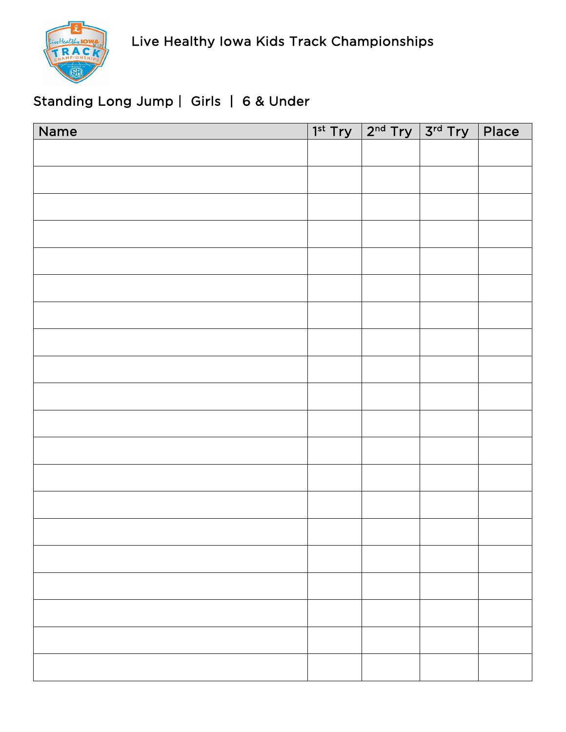

# Standing Long Jump | Girls | 6 & Under

| Name | $1st Try$ $2nd Try$ $3rd Try$ Place |  |
|------|-------------------------------------|--|
|      |                                     |  |
|      |                                     |  |
|      |                                     |  |
|      |                                     |  |
|      |                                     |  |
|      |                                     |  |
|      |                                     |  |
|      |                                     |  |
|      |                                     |  |
|      |                                     |  |
|      |                                     |  |
|      |                                     |  |
|      |                                     |  |
|      |                                     |  |
|      |                                     |  |
|      |                                     |  |
|      |                                     |  |
|      |                                     |  |
|      |                                     |  |
|      |                                     |  |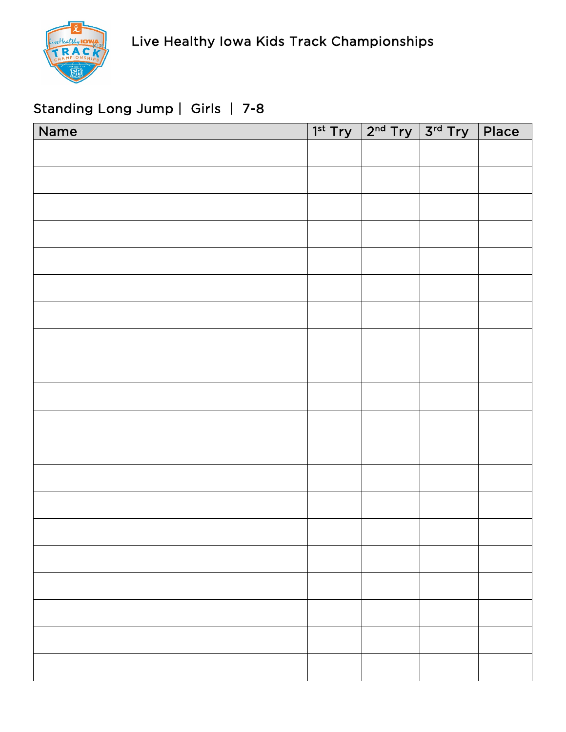

# Standing Long Jump | Girls | 7-8

| Name | $1st Try$ $2nd Try$ $3rd Try$ Place |  |
|------|-------------------------------------|--|
|      |                                     |  |
|      |                                     |  |
|      |                                     |  |
|      |                                     |  |
|      |                                     |  |
|      |                                     |  |
|      |                                     |  |
|      |                                     |  |
|      |                                     |  |
|      |                                     |  |
|      |                                     |  |
|      |                                     |  |
|      |                                     |  |
|      |                                     |  |
|      |                                     |  |
|      |                                     |  |
|      |                                     |  |
|      |                                     |  |
|      |                                     |  |
|      |                                     |  |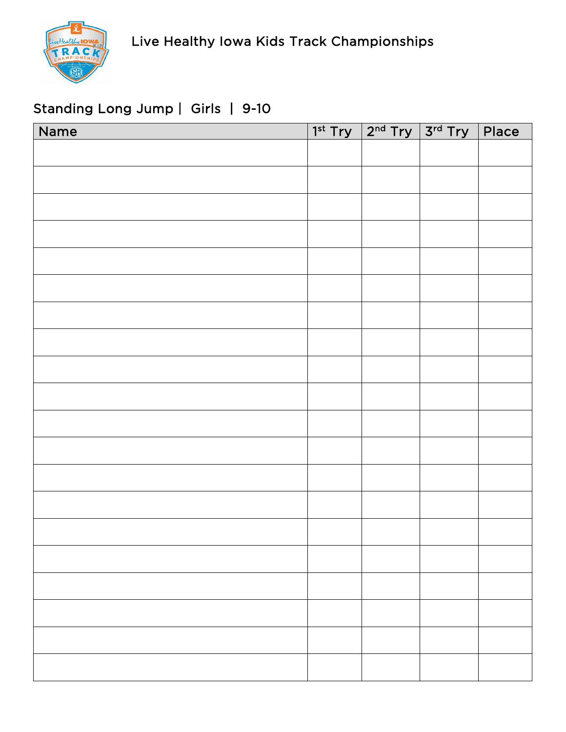

## Standing Long Jump | Girls | 9-10

| Name | $1^{st}$ Try $2^{nd}$ Try $3^{rd}$ Try Place |  |
|------|----------------------------------------------|--|
|      |                                              |  |
|      |                                              |  |
|      |                                              |  |
|      |                                              |  |
|      |                                              |  |
|      |                                              |  |
|      |                                              |  |
|      |                                              |  |
|      |                                              |  |
|      |                                              |  |
|      |                                              |  |
|      |                                              |  |
|      |                                              |  |
|      |                                              |  |
|      |                                              |  |
|      |                                              |  |
|      |                                              |  |
|      |                                              |  |
|      |                                              |  |
|      |                                              |  |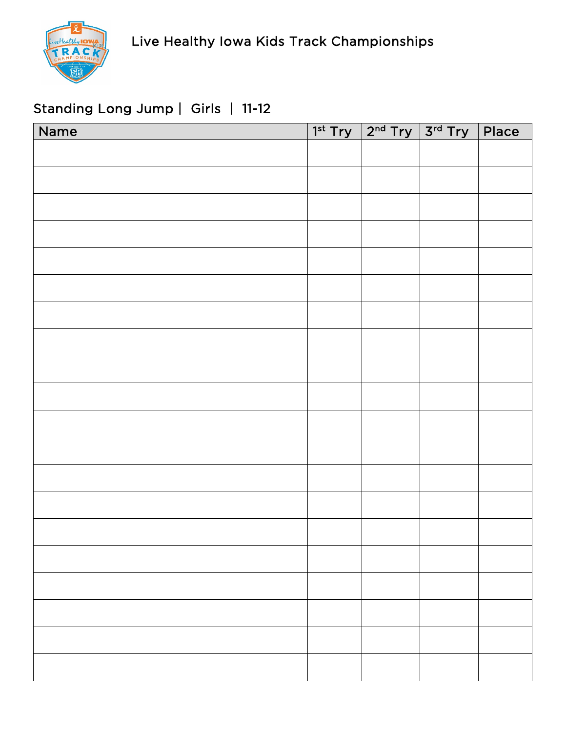

# Standing Long Jump | Girls | 11-12

| Name | $\boxed{1^{\text{st}}$ Try $\boxed{2^{\text{nd}}}$ Try $\boxed{3^{\text{rd}}}$ Try $\boxed{3^{\text{rd}}}$ | Place |
|------|------------------------------------------------------------------------------------------------------------|-------|
|      |                                                                                                            |       |
|      |                                                                                                            |       |
|      |                                                                                                            |       |
|      |                                                                                                            |       |
|      |                                                                                                            |       |
|      |                                                                                                            |       |
|      |                                                                                                            |       |
|      |                                                                                                            |       |
|      |                                                                                                            |       |
|      |                                                                                                            |       |
|      |                                                                                                            |       |
|      |                                                                                                            |       |
|      |                                                                                                            |       |
|      |                                                                                                            |       |
|      |                                                                                                            |       |
|      |                                                                                                            |       |
|      |                                                                                                            |       |
|      |                                                                                                            |       |
|      |                                                                                                            |       |
|      |                                                                                                            |       |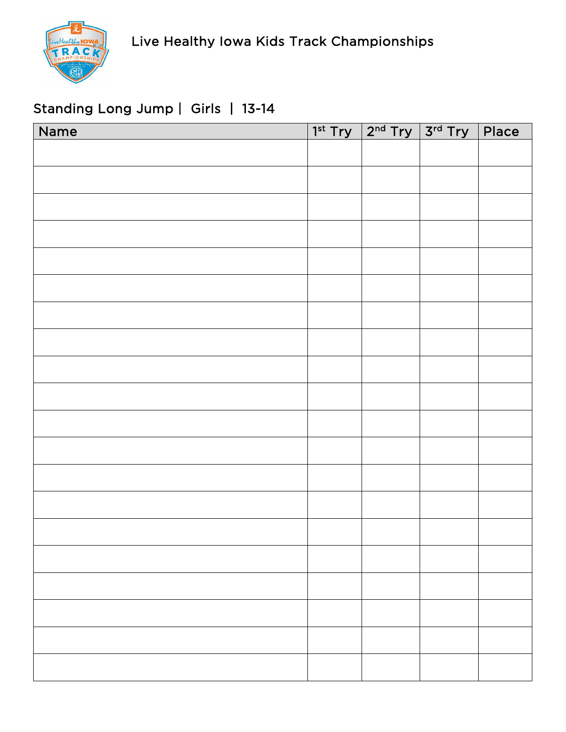

## Standing Long Jump | Girls | 13-14

| Name |  | $1^{st}$ Try $2^{nd}$ Try $3^{rd}$ Try Place |  |
|------|--|----------------------------------------------|--|
|      |  |                                              |  |
|      |  |                                              |  |
|      |  |                                              |  |
|      |  |                                              |  |
|      |  |                                              |  |
|      |  |                                              |  |
|      |  |                                              |  |
|      |  |                                              |  |
|      |  |                                              |  |
|      |  |                                              |  |
|      |  |                                              |  |
|      |  |                                              |  |
|      |  |                                              |  |
|      |  |                                              |  |
|      |  |                                              |  |
|      |  |                                              |  |
|      |  |                                              |  |
|      |  |                                              |  |
|      |  |                                              |  |
|      |  |                                              |  |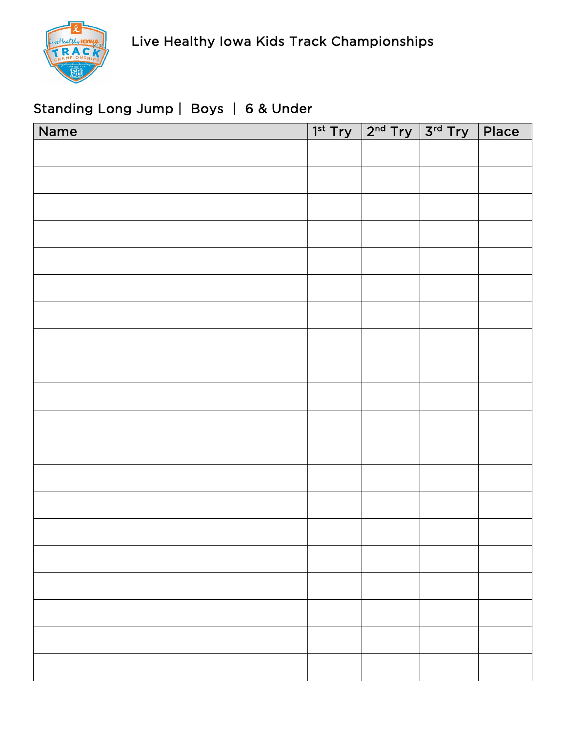

# Standing Long Jump | Boys | 6 & Under

| Name |  | $1st Try$ $2nd Try$ $3rd Try$ Place |  |
|------|--|-------------------------------------|--|
|      |  |                                     |  |
|      |  |                                     |  |
|      |  |                                     |  |
|      |  |                                     |  |
|      |  |                                     |  |
|      |  |                                     |  |
|      |  |                                     |  |
|      |  |                                     |  |
|      |  |                                     |  |
|      |  |                                     |  |
|      |  |                                     |  |
|      |  |                                     |  |
|      |  |                                     |  |
|      |  |                                     |  |
|      |  |                                     |  |
|      |  |                                     |  |
|      |  |                                     |  |
|      |  |                                     |  |
|      |  |                                     |  |
|      |  |                                     |  |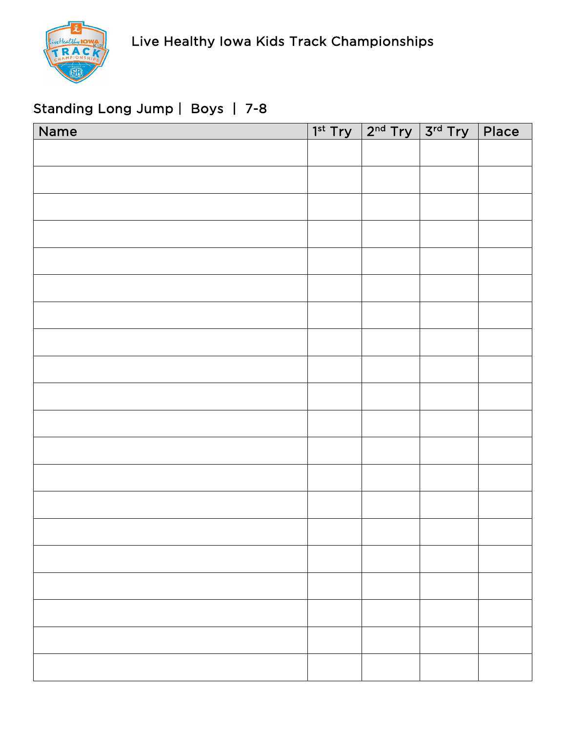

# Standing Long Jump | Boys | 7-8

| Name | $1^{st}$ Try $2^{nd}$ Try $3^{rd}$ Try | $ $ Place |
|------|----------------------------------------|-----------|
|      |                                        |           |
|      |                                        |           |
|      |                                        |           |
|      |                                        |           |
|      |                                        |           |
|      |                                        |           |
|      |                                        |           |
|      |                                        |           |
|      |                                        |           |
|      |                                        |           |
|      |                                        |           |
|      |                                        |           |
|      |                                        |           |
|      |                                        |           |
|      |                                        |           |
|      |                                        |           |
|      |                                        |           |
|      |                                        |           |
|      |                                        |           |
|      |                                        |           |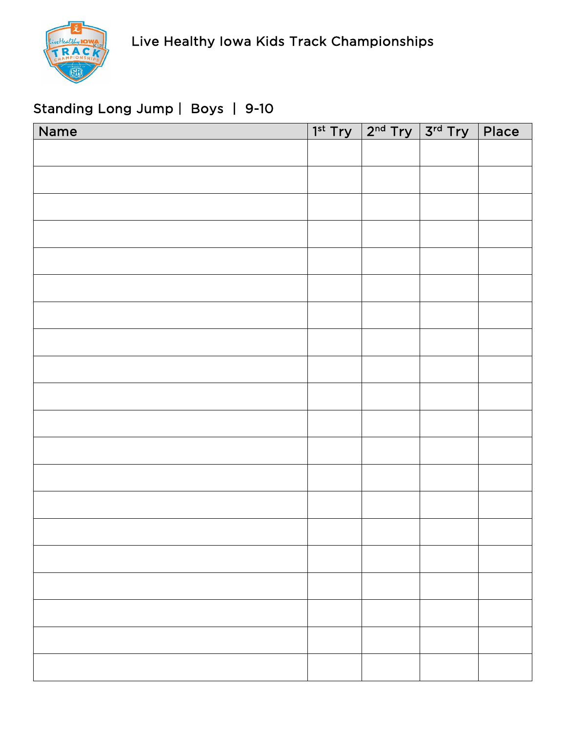# Standing Long Jump | Boys | 9-10

| Name |  | $1st Try$ $2nd Try$ $3rd Try$ Place |  |
|------|--|-------------------------------------|--|
|      |  |                                     |  |
|      |  |                                     |  |
|      |  |                                     |  |
|      |  |                                     |  |
|      |  |                                     |  |
|      |  |                                     |  |
|      |  |                                     |  |
|      |  |                                     |  |
|      |  |                                     |  |
|      |  |                                     |  |
|      |  |                                     |  |
|      |  |                                     |  |
|      |  |                                     |  |
|      |  |                                     |  |
|      |  |                                     |  |
|      |  |                                     |  |
|      |  |                                     |  |
|      |  |                                     |  |
|      |  |                                     |  |
|      |  |                                     |  |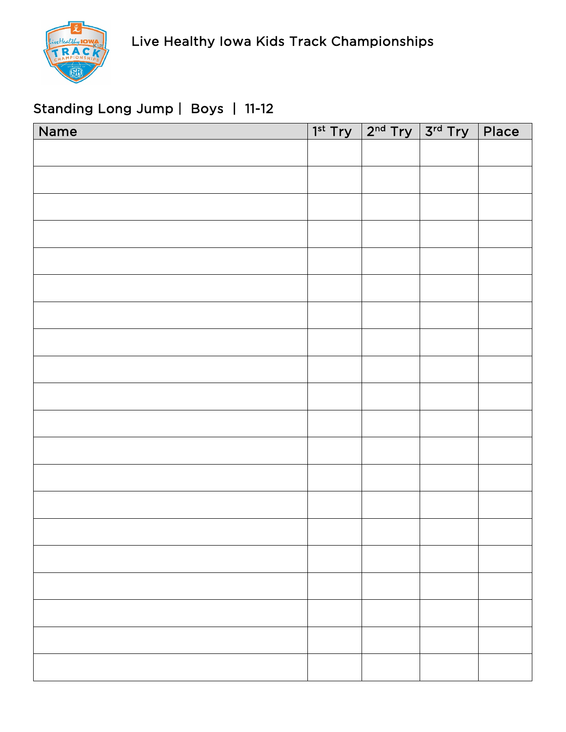

# Standing Long Jump | Boys | 11-12

| Name |  | $1^{st}$ Try $2^{nd}$ Try $3^{rd}$ Try Place |  |
|------|--|----------------------------------------------|--|
|      |  |                                              |  |
|      |  |                                              |  |
|      |  |                                              |  |
|      |  |                                              |  |
|      |  |                                              |  |
|      |  |                                              |  |
|      |  |                                              |  |
|      |  |                                              |  |
|      |  |                                              |  |
|      |  |                                              |  |
|      |  |                                              |  |
|      |  |                                              |  |
|      |  |                                              |  |
|      |  |                                              |  |
|      |  |                                              |  |
|      |  |                                              |  |
|      |  |                                              |  |
|      |  |                                              |  |
|      |  |                                              |  |
|      |  |                                              |  |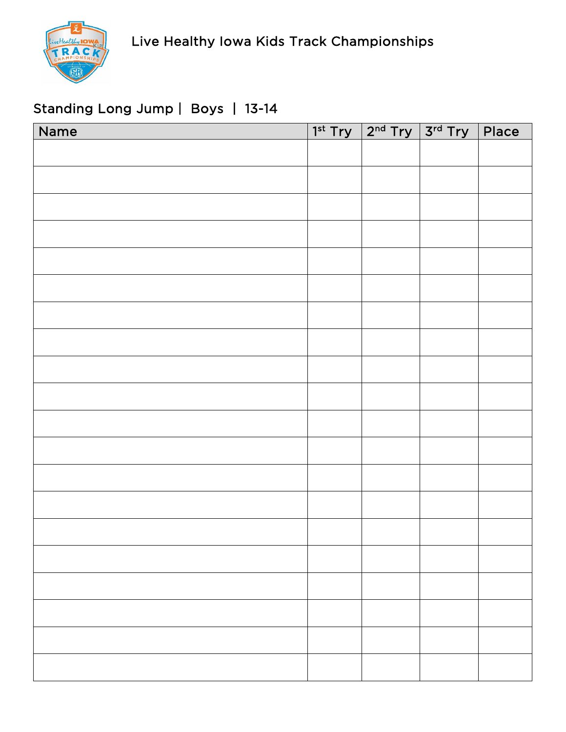# Standing Long Jump | Boys | 13-14

| Name | $1st Try$ $2nd Try$ $3rd Try$ Place |  |
|------|-------------------------------------|--|
|      |                                     |  |
|      |                                     |  |
|      |                                     |  |
|      |                                     |  |
|      |                                     |  |
|      |                                     |  |
|      |                                     |  |
|      |                                     |  |
|      |                                     |  |
|      |                                     |  |
|      |                                     |  |
|      |                                     |  |
|      |                                     |  |
|      |                                     |  |
|      |                                     |  |
|      |                                     |  |
|      |                                     |  |
|      |                                     |  |
|      |                                     |  |
|      |                                     |  |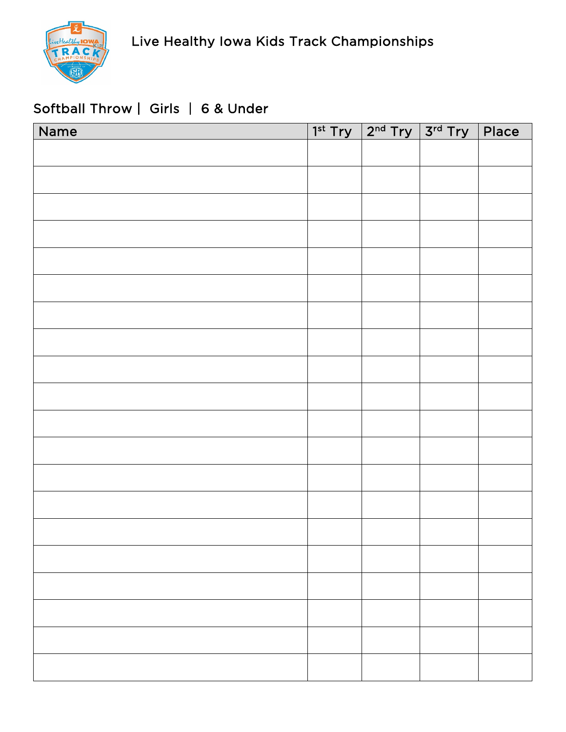

## Softball Throw | Girls | 6 & Under

| Name |  | $1^{st}$ Try $2^{nd}$ Try $3^{rd}$ Try Place |  |
|------|--|----------------------------------------------|--|
|      |  |                                              |  |
|      |  |                                              |  |
|      |  |                                              |  |
|      |  |                                              |  |
|      |  |                                              |  |
|      |  |                                              |  |
|      |  |                                              |  |
|      |  |                                              |  |
|      |  |                                              |  |
|      |  |                                              |  |
|      |  |                                              |  |
|      |  |                                              |  |
|      |  |                                              |  |
|      |  |                                              |  |
|      |  |                                              |  |
|      |  |                                              |  |
|      |  |                                              |  |
|      |  |                                              |  |
|      |  |                                              |  |
|      |  |                                              |  |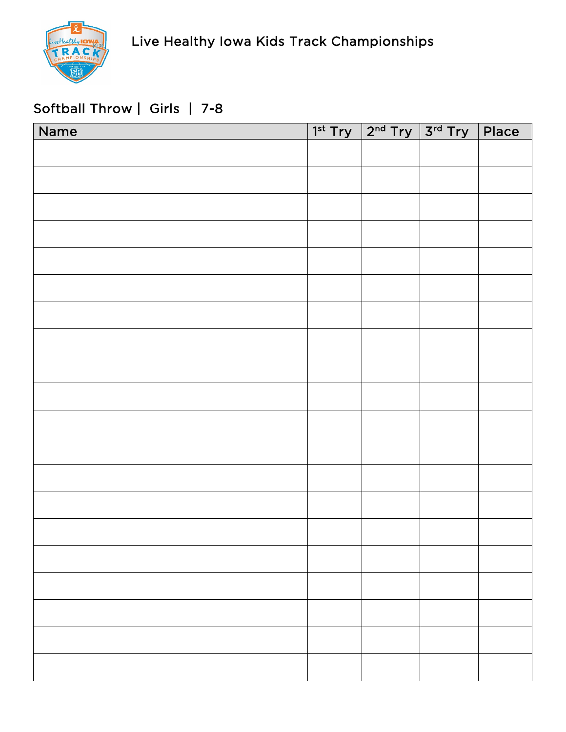

## Softball Throw | Girls | 7-8

| Name |  | $1st Try$ $2nd Try$ $3rd Try$ Place |  |
|------|--|-------------------------------------|--|
|      |  |                                     |  |
|      |  |                                     |  |
|      |  |                                     |  |
|      |  |                                     |  |
|      |  |                                     |  |
|      |  |                                     |  |
|      |  |                                     |  |
|      |  |                                     |  |
|      |  |                                     |  |
|      |  |                                     |  |
|      |  |                                     |  |
|      |  |                                     |  |
|      |  |                                     |  |
|      |  |                                     |  |
|      |  |                                     |  |
|      |  |                                     |  |
|      |  |                                     |  |
|      |  |                                     |  |
|      |  |                                     |  |
|      |  |                                     |  |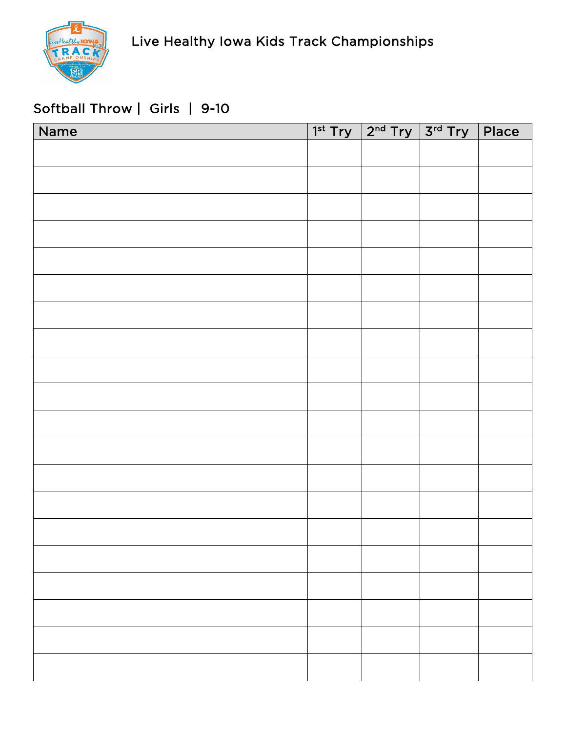# Softball Throw | Girls | 9-10

| Name |  | $1st Try$ $2nd Try$ $3rd Try$ Place |  |
|------|--|-------------------------------------|--|
|      |  |                                     |  |
|      |  |                                     |  |
|      |  |                                     |  |
|      |  |                                     |  |
|      |  |                                     |  |
|      |  |                                     |  |
|      |  |                                     |  |
|      |  |                                     |  |
|      |  |                                     |  |
|      |  |                                     |  |
|      |  |                                     |  |
|      |  |                                     |  |
|      |  |                                     |  |
|      |  |                                     |  |
|      |  |                                     |  |
|      |  |                                     |  |
|      |  |                                     |  |
|      |  |                                     |  |
|      |  |                                     |  |
|      |  |                                     |  |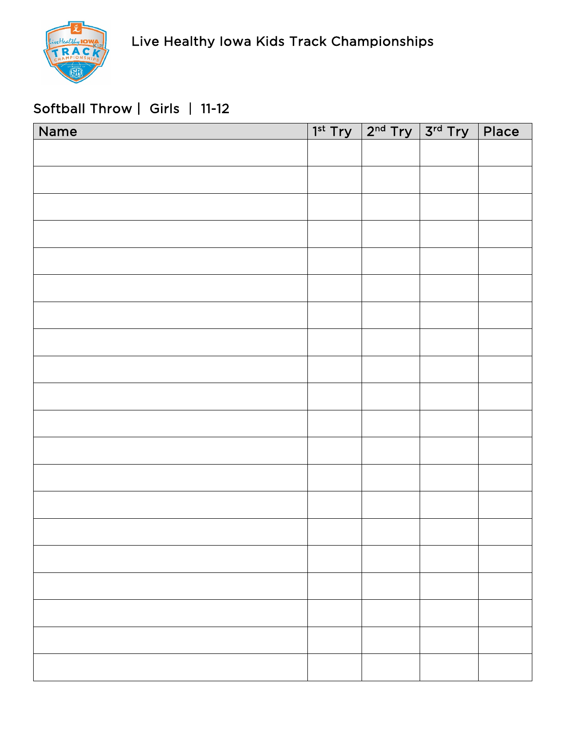# Softball Throw | Girls | 11-12

| Name |  | $1^{st}$ Try $2^{nd}$ Try $3^{rd}$ Try Place |  |
|------|--|----------------------------------------------|--|
|      |  |                                              |  |
|      |  |                                              |  |
|      |  |                                              |  |
|      |  |                                              |  |
|      |  |                                              |  |
|      |  |                                              |  |
|      |  |                                              |  |
|      |  |                                              |  |
|      |  |                                              |  |
|      |  |                                              |  |
|      |  |                                              |  |
|      |  |                                              |  |
|      |  |                                              |  |
|      |  |                                              |  |
|      |  |                                              |  |
|      |  |                                              |  |
|      |  |                                              |  |
|      |  |                                              |  |
|      |  |                                              |  |
|      |  |                                              |  |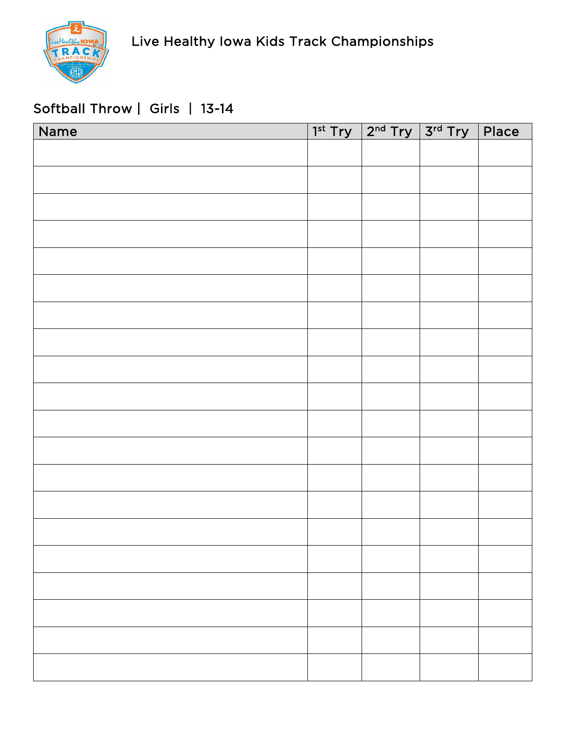

## Softball Throw | Girls | 13-14

| Name | $1^{st}$ Try $2^{nd}$ Try $3^{rd}$ Try | $ $ Place |
|------|----------------------------------------|-----------|
|      |                                        |           |
|      |                                        |           |
|      |                                        |           |
|      |                                        |           |
|      |                                        |           |
|      |                                        |           |
|      |                                        |           |
|      |                                        |           |
|      |                                        |           |
|      |                                        |           |
|      |                                        |           |
|      |                                        |           |
|      |                                        |           |
|      |                                        |           |
|      |                                        |           |
|      |                                        |           |
|      |                                        |           |
|      |                                        |           |
|      |                                        |           |
|      |                                        |           |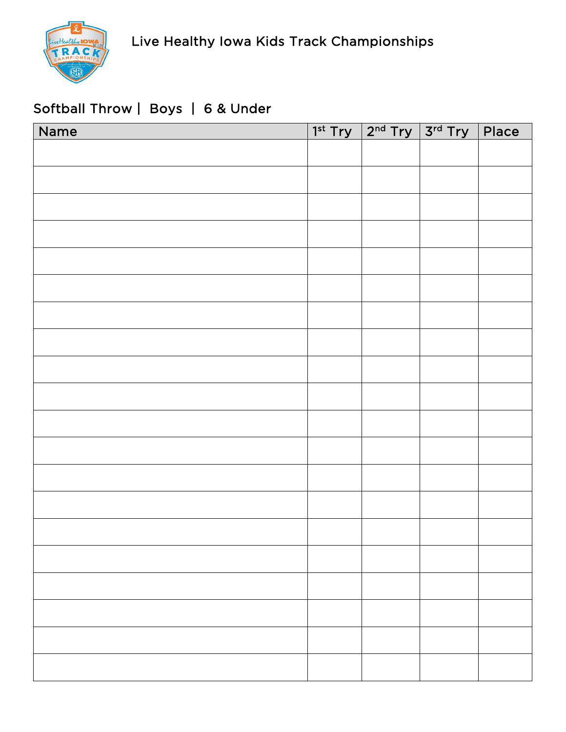

## Softball Throw | Boys | 6 & Under

| Name | $1^{st}$ Try $2^{nd}$ Try $3^{rd}$ Try | Place |
|------|----------------------------------------|-------|
|      |                                        |       |
|      |                                        |       |
|      |                                        |       |
|      |                                        |       |
|      |                                        |       |
|      |                                        |       |
|      |                                        |       |
|      |                                        |       |
|      |                                        |       |
|      |                                        |       |
|      |                                        |       |
|      |                                        |       |
|      |                                        |       |
|      |                                        |       |
|      |                                        |       |
|      |                                        |       |
|      |                                        |       |
|      |                                        |       |
|      |                                        |       |
|      |                                        |       |
|      |                                        |       |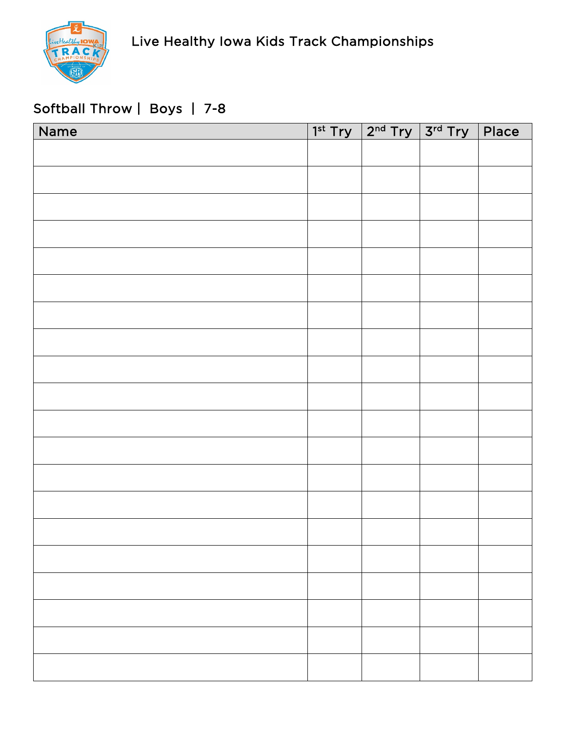

## Softball Throw | Boys | 7-8

| Name |  | $1^{st}$ Try $2^{nd}$ Try $3^{rd}$ Try Place |  |
|------|--|----------------------------------------------|--|
|      |  |                                              |  |
|      |  |                                              |  |
|      |  |                                              |  |
|      |  |                                              |  |
|      |  |                                              |  |
|      |  |                                              |  |
|      |  |                                              |  |
|      |  |                                              |  |
|      |  |                                              |  |
|      |  |                                              |  |
|      |  |                                              |  |
|      |  |                                              |  |
|      |  |                                              |  |
|      |  |                                              |  |
|      |  |                                              |  |
|      |  |                                              |  |
|      |  |                                              |  |
|      |  |                                              |  |
|      |  |                                              |  |
|      |  |                                              |  |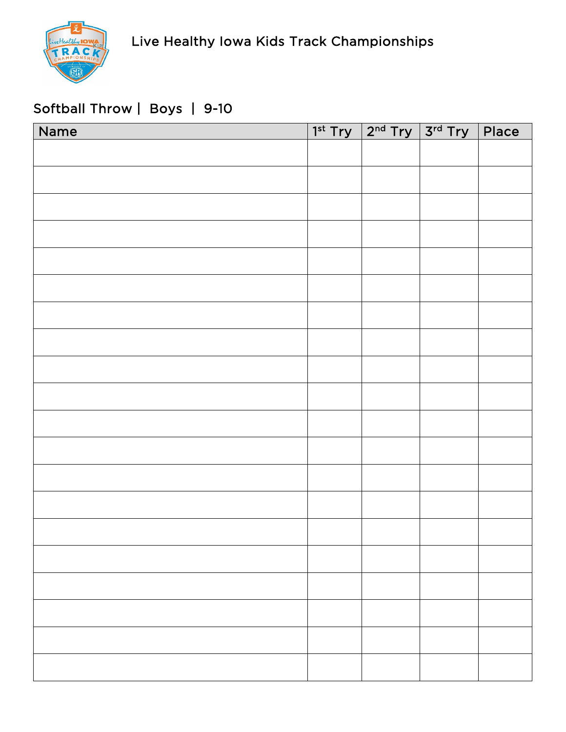

# Softball Throw | Boys | 9-10

| Name |  | $1^{st}$ Try $2^{nd}$ Try $3^{rd}$ Try Place |  |
|------|--|----------------------------------------------|--|
|      |  |                                              |  |
|      |  |                                              |  |
|      |  |                                              |  |
|      |  |                                              |  |
|      |  |                                              |  |
|      |  |                                              |  |
|      |  |                                              |  |
|      |  |                                              |  |
|      |  |                                              |  |
|      |  |                                              |  |
|      |  |                                              |  |
|      |  |                                              |  |
|      |  |                                              |  |
|      |  |                                              |  |
|      |  |                                              |  |
|      |  |                                              |  |
|      |  |                                              |  |
|      |  |                                              |  |
|      |  |                                              |  |
|      |  |                                              |  |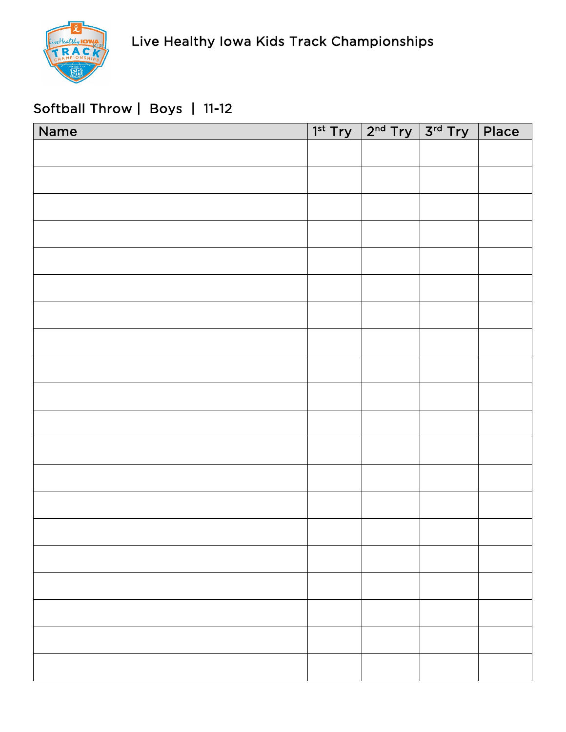

# Softball Throw | Boys | 11-12

| Name | $1^{st}$ Try $2^{nd}$ Try $3^{rd}$ Try | Place |
|------|----------------------------------------|-------|
|      |                                        |       |
|      |                                        |       |
|      |                                        |       |
|      |                                        |       |
|      |                                        |       |
|      |                                        |       |
|      |                                        |       |
|      |                                        |       |
|      |                                        |       |
|      |                                        |       |
|      |                                        |       |
|      |                                        |       |
|      |                                        |       |
|      |                                        |       |
|      |                                        |       |
|      |                                        |       |
|      |                                        |       |
|      |                                        |       |
|      |                                        |       |
|      |                                        |       |
|      |                                        |       |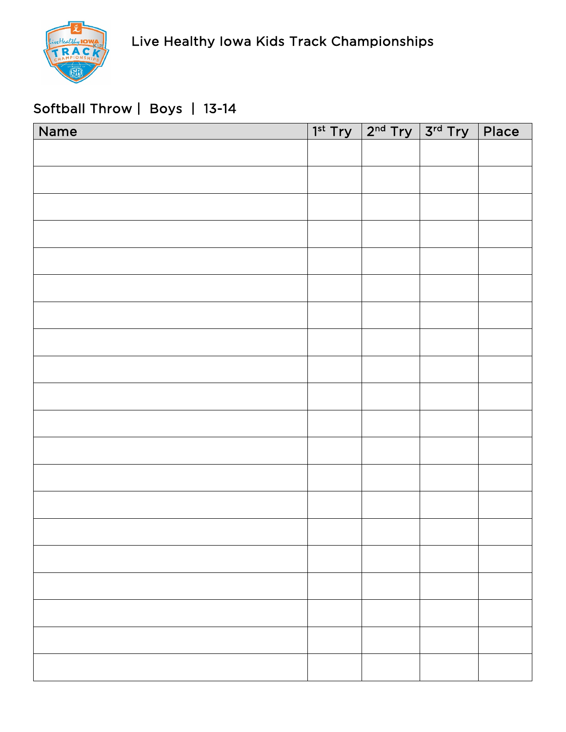

## Softball Throw | Boys | 13-14

| Name | $1st Try$ $2nd Try$ $3rd Try$ Place |  |
|------|-------------------------------------|--|
|      |                                     |  |
|      |                                     |  |
|      |                                     |  |
|      |                                     |  |
|      |                                     |  |
|      |                                     |  |
|      |                                     |  |
|      |                                     |  |
|      |                                     |  |
|      |                                     |  |
|      |                                     |  |
|      |                                     |  |
|      |                                     |  |
|      |                                     |  |
|      |                                     |  |
|      |                                     |  |
|      |                                     |  |
|      |                                     |  |
|      |                                     |  |
|      |                                     |  |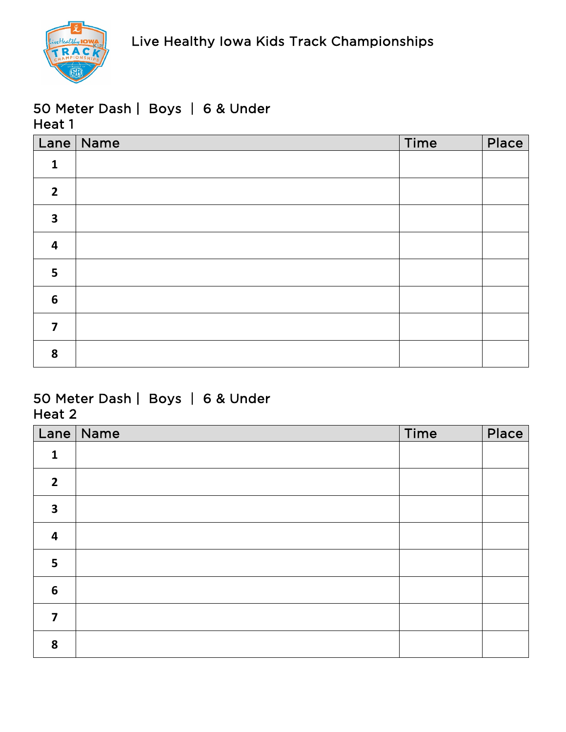

#### 50 Meter Dash | Boys | 6 & Under Heat 1

|                         | Lane   Name | Time | Place |
|-------------------------|-------------|------|-------|
| $\mathbf{1}$            |             |      |       |
| $\overline{2}$          |             |      |       |
| $\overline{\mathbf{3}}$ |             |      |       |
| $\overline{\mathbf{4}}$ |             |      |       |
| 5                       |             |      |       |
| $6\phantom{1}6$         |             |      |       |
| $\overline{\mathbf{z}}$ |             |      |       |
| 8                       |             |      |       |

#### 50 Meter Dash | Boys | 6 & Under Heat 2

| Lane                    | Name | Time | Place |
|-------------------------|------|------|-------|
| $\mathbf{1}$            |      |      |       |
| $\overline{2}$          |      |      |       |
| $\overline{\mathbf{3}}$ |      |      |       |
| $\overline{\mathbf{r}}$ |      |      |       |
| 5                       |      |      |       |
| $6\phantom{1}6$         |      |      |       |
| 7                       |      |      |       |
| 8                       |      |      |       |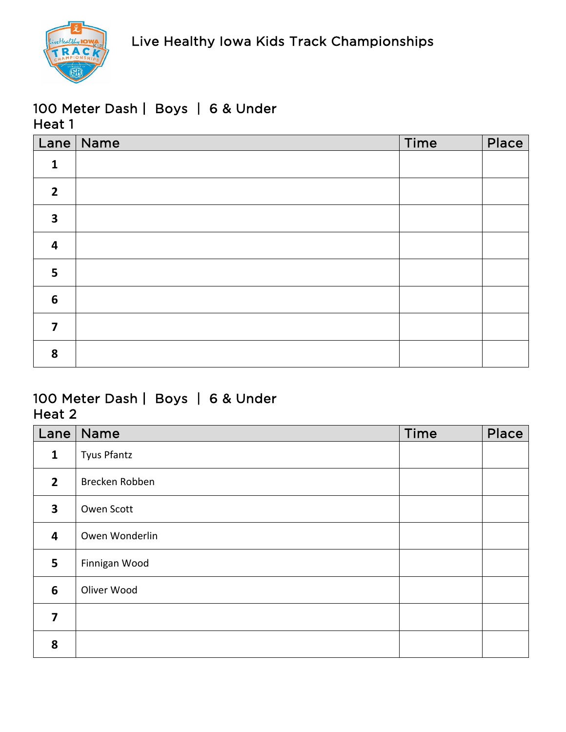

## 100 Meter Dash | Boys | 6 & Under Heat 1

|                         | Lane   Name | Time | Place |
|-------------------------|-------------|------|-------|
| $\mathbf{1}$            |             |      |       |
| $\overline{2}$          |             |      |       |
| $\overline{\mathbf{3}}$ |             |      |       |
| $\overline{\mathbf{4}}$ |             |      |       |
| 5                       |             |      |       |
| $6\phantom{1}$          |             |      |       |
| $\overline{\mathbf{z}}$ |             |      |       |
| 8                       |             |      |       |

## 100 Meter Dash | Boys | 6 & Under Heat 2

| Lane                    | Name               | <b>Time</b> | Place |
|-------------------------|--------------------|-------------|-------|
| $\mathbf{1}$            | <b>Tyus Pfantz</b> |             |       |
| $\overline{2}$          | Brecken Robben     |             |       |
| $\overline{\mathbf{3}}$ | Owen Scott         |             |       |
| $\overline{\mathbf{4}}$ | Owen Wonderlin     |             |       |
| 5                       | Finnigan Wood      |             |       |
| 6                       | Oliver Wood        |             |       |
| 7                       |                    |             |       |
| 8                       |                    |             |       |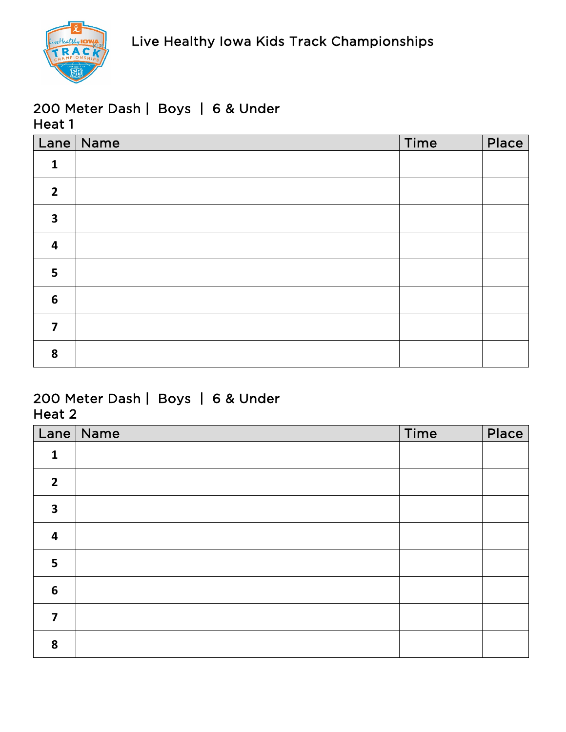

## 200 Meter Dash | Boys | 6 & Under Heat 1

|                         | Lane   Name | Time | Place |
|-------------------------|-------------|------|-------|
| $\mathbf{1}$            |             |      |       |
| $\overline{2}$          |             |      |       |
| $\overline{\mathbf{3}}$ |             |      |       |
| $\overline{\mathbf{4}}$ |             |      |       |
| 5                       |             |      |       |
| $6\phantom{1}6$         |             |      |       |
| $\overline{\mathbf{z}}$ |             |      |       |
| 8                       |             |      |       |

#### 200 Meter Dash | Boys | 6 & Under Heat 2

| Lane                    | Name | Time | Place |
|-------------------------|------|------|-------|
| $\mathbf{1}$            |      |      |       |
| $\overline{2}$          |      |      |       |
| $\overline{\mathbf{3}}$ |      |      |       |
| $\overline{\mathbf{r}}$ |      |      |       |
| 5                       |      |      |       |
| $6\phantom{1}6$         |      |      |       |
| 7                       |      |      |       |
| 8                       |      |      |       |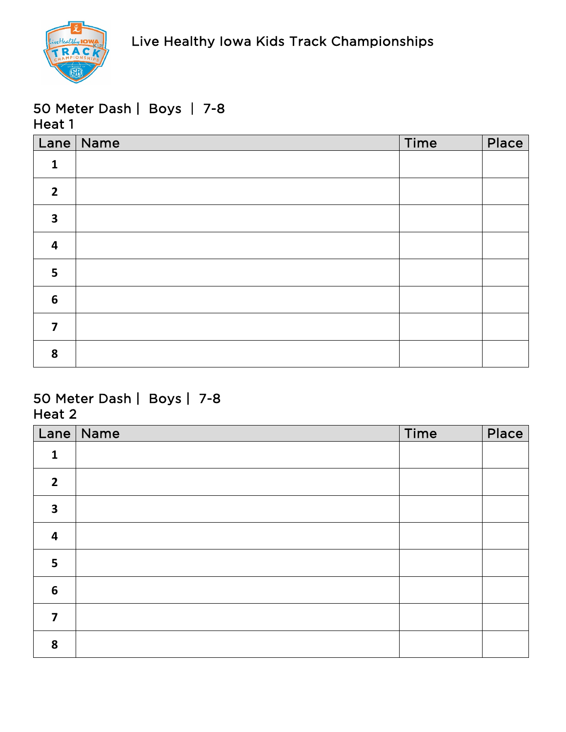

|                         | Lane   Name | Time | Place |
|-------------------------|-------------|------|-------|
| $\mathbf{1}$            |             |      |       |
| $\overline{2}$          |             |      |       |
| $\overline{\mathbf{3}}$ |             |      |       |
| $\overline{\mathbf{4}}$ |             |      |       |
| 5                       |             |      |       |
| $6\phantom{1}6$         |             |      |       |
| $\overline{\mathbf{z}}$ |             |      |       |
| 8                       |             |      |       |

| Lane                    | Name | Time | Place |
|-------------------------|------|------|-------|
| $\mathbf{1}$            |      |      |       |
| $\overline{2}$          |      |      |       |
| $\overline{\mathbf{3}}$ |      |      |       |
| $\overline{\mathbf{r}}$ |      |      |       |
| 5                       |      |      |       |
| $6\phantom{1}6$         |      |      |       |
| 7                       |      |      |       |
| 8                       |      |      |       |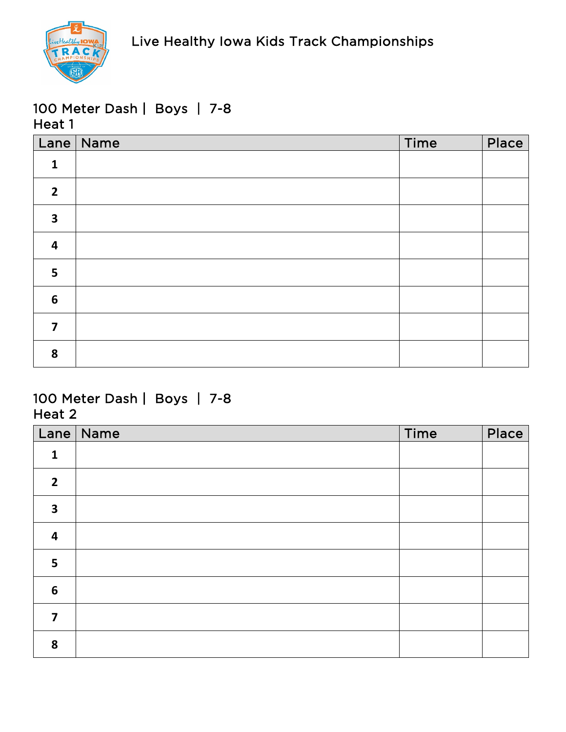

|                         | Lane   Name | Time | Place |
|-------------------------|-------------|------|-------|
| $\mathbf{1}$            |             |      |       |
| $\overline{2}$          |             |      |       |
| $\overline{\mathbf{3}}$ |             |      |       |
| $\overline{\mathbf{4}}$ |             |      |       |
| 5                       |             |      |       |
| $6\phantom{1}6$         |             |      |       |
| $\overline{\mathbf{z}}$ |             |      |       |
| 8                       |             |      |       |

| Lane                    | $\vert$ Name | Time | Place |
|-------------------------|--------------|------|-------|
| $\mathbf{1}$            |              |      |       |
| $\overline{2}$          |              |      |       |
| $\overline{\mathbf{3}}$ |              |      |       |
| $\overline{\mathbf{4}}$ |              |      |       |
| 5                       |              |      |       |
| $\boldsymbol{6}$        |              |      |       |
| 7                       |              |      |       |
| 8                       |              |      |       |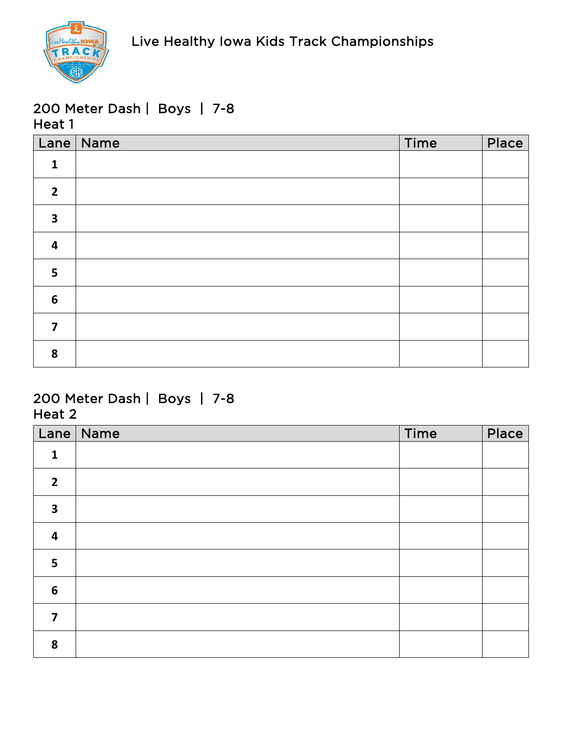

|                         | Lane Name | Time | Place |
|-------------------------|-----------|------|-------|
| $\mathbf{1}$            |           |      |       |
| $\overline{2}$          |           |      |       |
| $\overline{\mathbf{3}}$ |           |      |       |
| $\overline{\mathbf{4}}$ |           |      |       |
| 5                       |           |      |       |
| $6\phantom{1}6$         |           |      |       |
| $\overline{7}$          |           |      |       |
| 8                       |           |      |       |

| Lane                    | $\sqrt{\phantom{a}}$ Name | Time | Place |
|-------------------------|---------------------------|------|-------|
| $\mathbf{1}$            |                           |      |       |
| $\overline{2}$          |                           |      |       |
| $\overline{\mathbf{3}}$ |                           |      |       |
| $\overline{\mathbf{r}}$ |                           |      |       |
| 5                       |                           |      |       |
| $6\phantom{1}6$         |                           |      |       |
| 7                       |                           |      |       |
| 8                       |                           |      |       |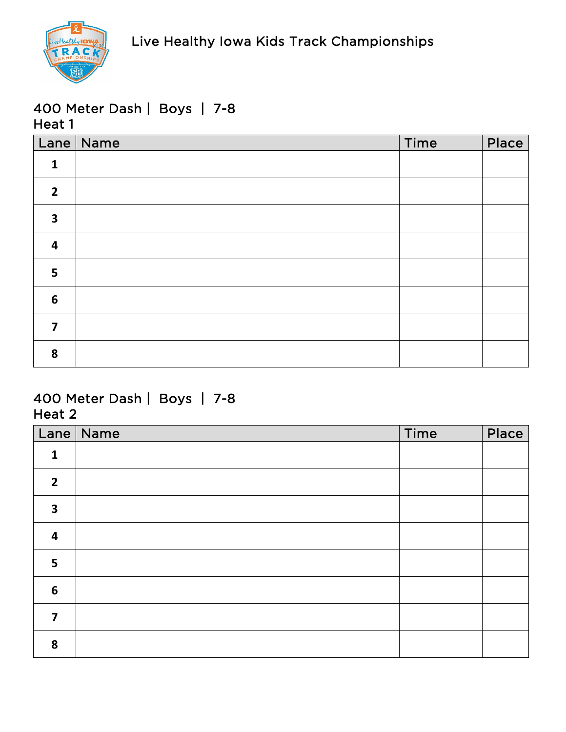

|                         | Lane   Name | Time | Place |
|-------------------------|-------------|------|-------|
| $\mathbf{1}$            |             |      |       |
| $\overline{2}$          |             |      |       |
| $\overline{\mathbf{3}}$ |             |      |       |
| $\overline{\mathbf{4}}$ |             |      |       |
| 5                       |             |      |       |
| $6\phantom{1}6$         |             |      |       |
| $\overline{7}$          |             |      |       |
| 8                       |             |      |       |

| Lane                    | Name | Time | Place |
|-------------------------|------|------|-------|
| $\mathbf{1}$            |      |      |       |
| $\overline{2}$          |      |      |       |
| $\overline{\mathbf{3}}$ |      |      |       |
| $\overline{\mathbf{r}}$ |      |      |       |
| 5                       |      |      |       |
| $6\phantom{1}6$         |      |      |       |
| 7                       |      |      |       |
| 8                       |      |      |       |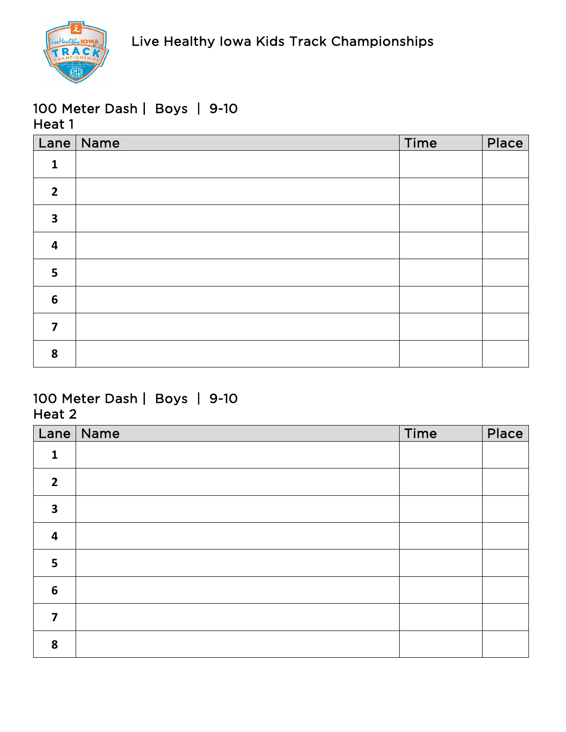

|                         | Lane Name | Time | Place |
|-------------------------|-----------|------|-------|
| $\mathbf{1}$            |           |      |       |
| $\overline{2}$          |           |      |       |
| $\overline{\mathbf{3}}$ |           |      |       |
| $\overline{\mathbf{4}}$ |           |      |       |
| 5                       |           |      |       |
| $6\phantom{1}6$         |           |      |       |
| $\overline{7}$          |           |      |       |
| 8                       |           |      |       |

| Lane                    | Name | Time | Place |
|-------------------------|------|------|-------|
| $\mathbf{1}$            |      |      |       |
| $\overline{2}$          |      |      |       |
| $\overline{\mathbf{3}}$ |      |      |       |
| $\overline{\mathbf{r}}$ |      |      |       |
| 5                       |      |      |       |
| $6\phantom{1}6$         |      |      |       |
| 7                       |      |      |       |
| 8                       |      |      |       |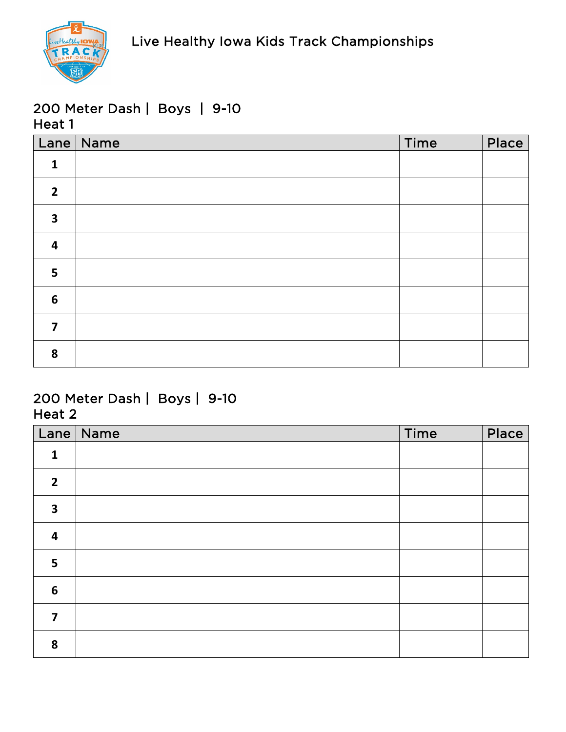

|                         | Lane Name | Time | Place |
|-------------------------|-----------|------|-------|
| $\mathbf{1}$            |           |      |       |
| $\overline{2}$          |           |      |       |
| $\overline{\mathbf{3}}$ |           |      |       |
| $\overline{\mathbf{4}}$ |           |      |       |
| 5                       |           |      |       |
| $6\phantom{1}6$         |           |      |       |
| $\overline{7}$          |           |      |       |
| 8                       |           |      |       |

| Lane                    | $\vert$ Name | Time | Place |
|-------------------------|--------------|------|-------|
| $\mathbf{1}$            |              |      |       |
| $\overline{2}$          |              |      |       |
| $\overline{\mathbf{3}}$ |              |      |       |
| $\overline{\mathbf{4}}$ |              |      |       |
| 5                       |              |      |       |
| $\boldsymbol{6}$        |              |      |       |
| 7                       |              |      |       |
| 8                       |              |      |       |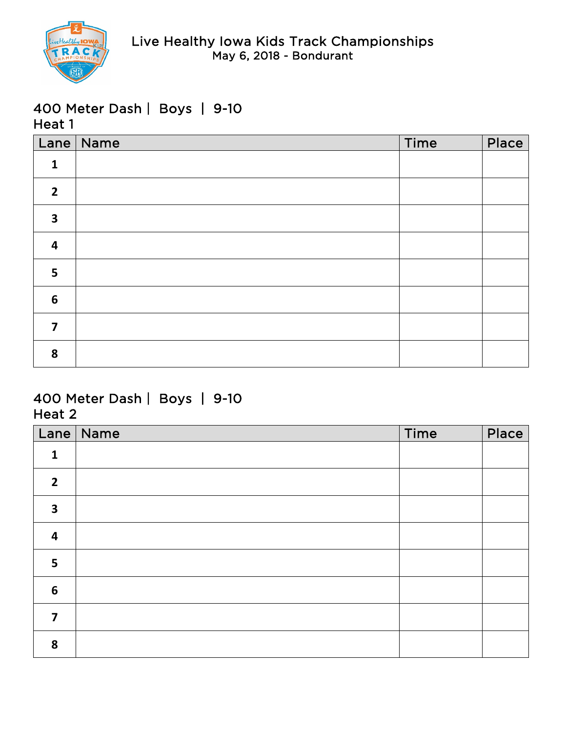

|                         | Lane Name | Time | Place |
|-------------------------|-----------|------|-------|
| $\mathbf{1}$            |           |      |       |
| $\overline{2}$          |           |      |       |
| $\overline{\mathbf{3}}$ |           |      |       |
| $\overline{\mathbf{4}}$ |           |      |       |
| 5                       |           |      |       |
| $6\phantom{1}6$         |           |      |       |
| $\overline{\mathbf{z}}$ |           |      |       |
| 8                       |           |      |       |

|                         | Lane   Name | Time | Place |
|-------------------------|-------------|------|-------|
| $\mathbf{1}$            |             |      |       |
| $\overline{2}$          |             |      |       |
| $\overline{\mathbf{3}}$ |             |      |       |
| $\overline{\mathbf{4}}$ |             |      |       |
| 5                       |             |      |       |
| $6\phantom{1}6$         |             |      |       |
| $\overline{\mathbf{z}}$ |             |      |       |
| 8                       |             |      |       |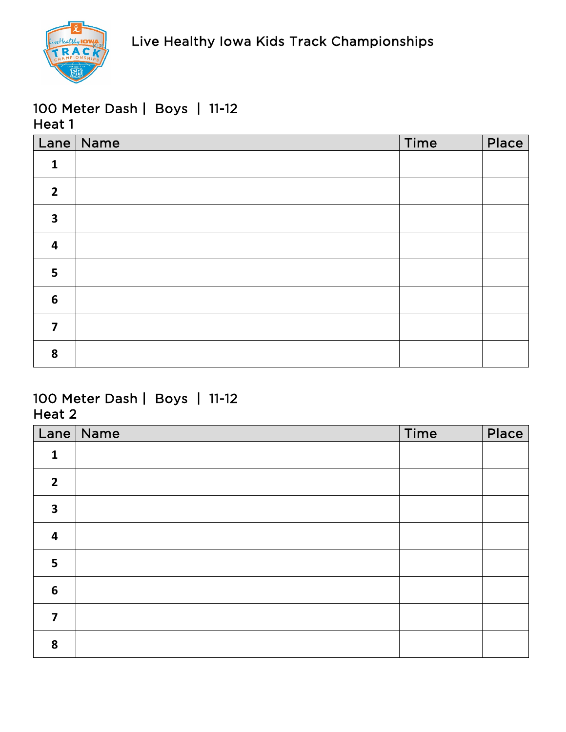

|                         | Lane   Name | Time | Place |
|-------------------------|-------------|------|-------|
| $\mathbf{1}$            |             |      |       |
| $\overline{2}$          |             |      |       |
| $\overline{\mathbf{3}}$ |             |      |       |
| $\overline{\mathbf{4}}$ |             |      |       |
| $5\phantom{a}$          |             |      |       |
| $6\phantom{1}6$         |             |      |       |
| $\overline{\mathbf{z}}$ |             |      |       |
| 8                       |             |      |       |

| Lane                    | $\vert$ Name | Time | Place |
|-------------------------|--------------|------|-------|
| $\mathbf{1}$            |              |      |       |
| $\overline{2}$          |              |      |       |
| $\overline{\mathbf{3}}$ |              |      |       |
| $\overline{\mathbf{4}}$ |              |      |       |
| 5                       |              |      |       |
| $\boldsymbol{6}$        |              |      |       |
| 7                       |              |      |       |
| 8                       |              |      |       |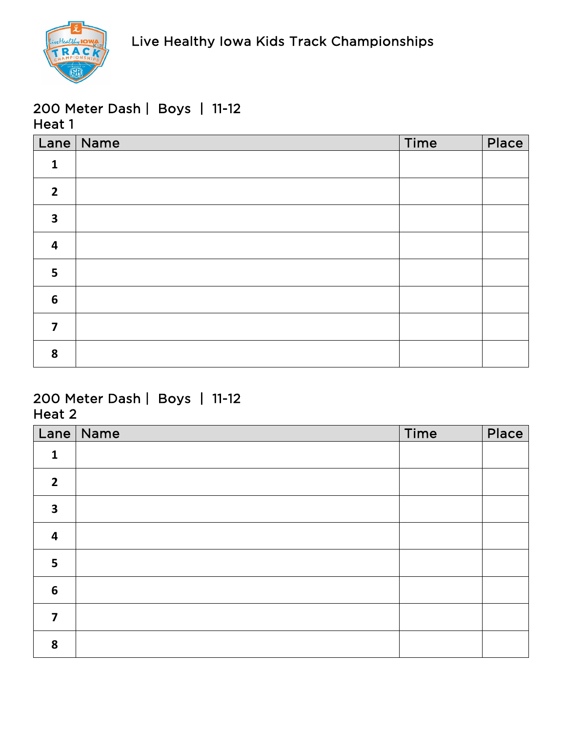

|                         | Lane   Name | Time | Place |
|-------------------------|-------------|------|-------|
| $\mathbf{1}$            |             |      |       |
| $\overline{2}$          |             |      |       |
| $\overline{\mathbf{3}}$ |             |      |       |
| $\overline{\mathbf{4}}$ |             |      |       |
| 5                       |             |      |       |
| $6\phantom{1}6$         |             |      |       |
| $\overline{7}$          |             |      |       |
| 8                       |             |      |       |

| Lane                    | $\vert$ Name | Time | Place |
|-------------------------|--------------|------|-------|
| $\mathbf{1}$            |              |      |       |
| $\overline{2}$          |              |      |       |
| $\overline{\mathbf{3}}$ |              |      |       |
| $\overline{\mathbf{4}}$ |              |      |       |
| 5                       |              |      |       |
| $\boldsymbol{6}$        |              |      |       |
| 7                       |              |      |       |
| 8                       |              |      |       |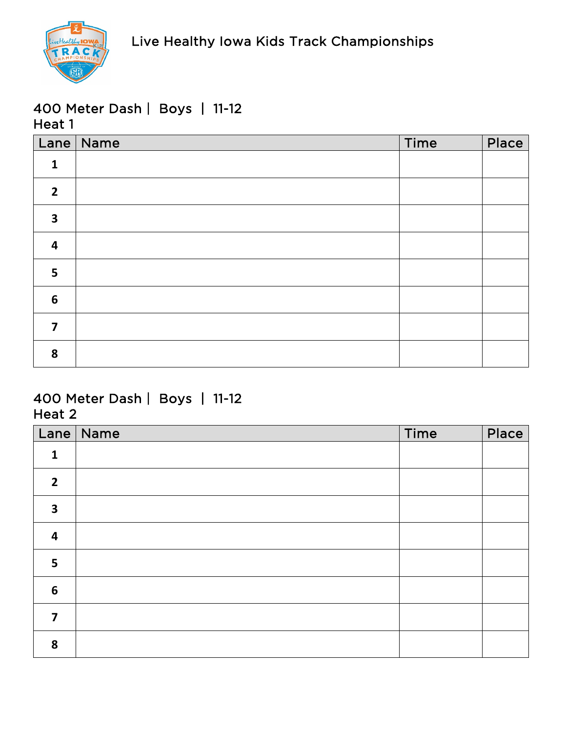

|                         | Lane Name | Time | Place |
|-------------------------|-----------|------|-------|
| $\mathbf{1}$            |           |      |       |
| $\overline{2}$          |           |      |       |
| $\overline{\mathbf{3}}$ |           |      |       |
| $\overline{\mathbf{4}}$ |           |      |       |
| 5                       |           |      |       |
| $6\phantom{1}6$         |           |      |       |
| $\overline{7}$          |           |      |       |
| 8                       |           |      |       |

| Lane                    | $\vert$ Name | Time | Place |
|-------------------------|--------------|------|-------|
| $\mathbf{1}$            |              |      |       |
| $\overline{2}$          |              |      |       |
| $\overline{\mathbf{3}}$ |              |      |       |
| $\overline{\mathbf{4}}$ |              |      |       |
| 5                       |              |      |       |
| $\boldsymbol{6}$        |              |      |       |
| 7                       |              |      |       |
| 8                       |              |      |       |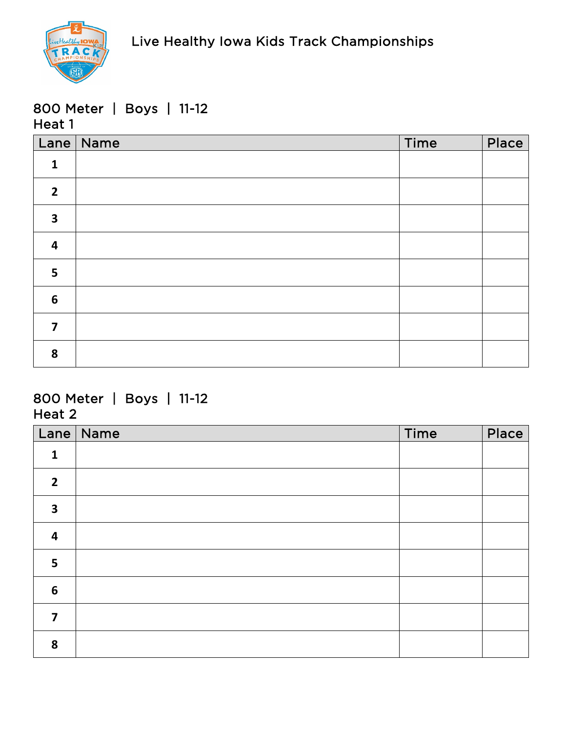

### 800 Meter | Boys | 11-12 Heat 1

|                         | Lane   Name | Time | Place |
|-------------------------|-------------|------|-------|
| $\mathbf{1}$            |             |      |       |
| $\overline{2}$          |             |      |       |
| $\overline{\mathbf{3}}$ |             |      |       |
| $\overline{\mathbf{4}}$ |             |      |       |
| 5                       |             |      |       |
| $6\phantom{1}6$         |             |      |       |
| $\overline{7}$          |             |      |       |
| 8                       |             |      |       |

### 800 Meter | Boys | 11-12 Heat 2

| Lane                    | Name | Time | Place |
|-------------------------|------|------|-------|
| $\mathbf{1}$            |      |      |       |
| $\overline{2}$          |      |      |       |
| $\overline{\mathbf{3}}$ |      |      |       |
| $\overline{\mathbf{r}}$ |      |      |       |
| 5                       |      |      |       |
| $6\phantom{1}6$         |      |      |       |
| 7                       |      |      |       |
| 8                       |      |      |       |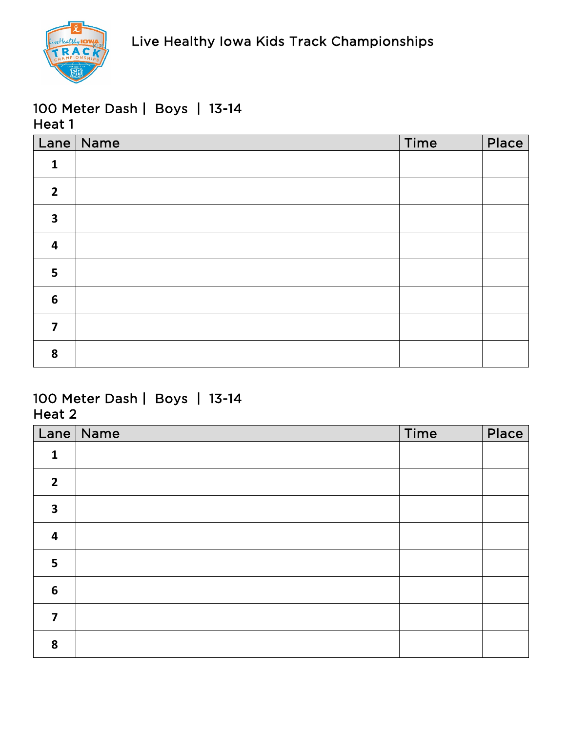

|                         | Lane Name | Time | Place |
|-------------------------|-----------|------|-------|
| $\mathbf{1}$            |           |      |       |
| $\overline{2}$          |           |      |       |
| $\overline{\mathbf{3}}$ |           |      |       |
| $\overline{\mathbf{4}}$ |           |      |       |
| 5                       |           |      |       |
| $6\phantom{1}6$         |           |      |       |
| $\overline{\mathbf{z}}$ |           |      |       |
| 8                       |           |      |       |

| Lane                    | $\vert$ Name | Time | Place |
|-------------------------|--------------|------|-------|
| $\mathbf{1}$            |              |      |       |
| $\overline{2}$          |              |      |       |
| $\overline{\mathbf{3}}$ |              |      |       |
| $\overline{\mathbf{4}}$ |              |      |       |
| 5                       |              |      |       |
| $\boldsymbol{6}$        |              |      |       |
| 7                       |              |      |       |
| 8                       |              |      |       |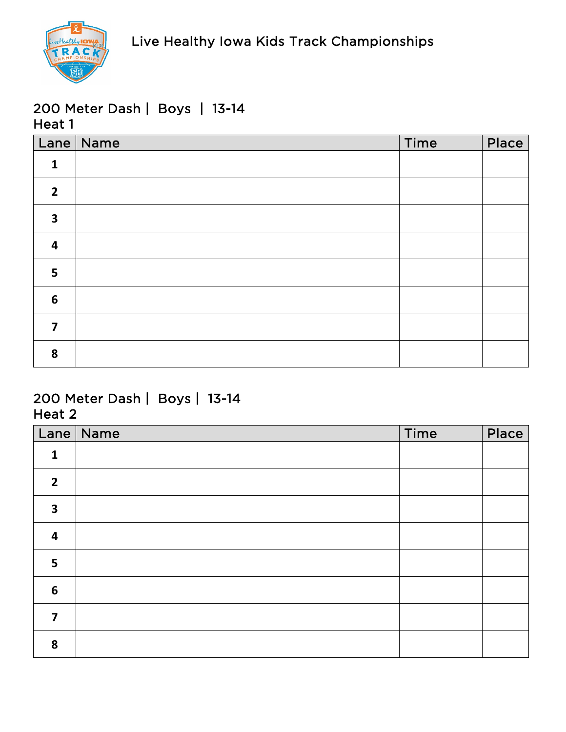

|                         | Lane Name | Time | Place |
|-------------------------|-----------|------|-------|
| $\mathbf{1}$            |           |      |       |
| $\overline{2}$          |           |      |       |
| $\overline{\mathbf{3}}$ |           |      |       |
| $\overline{\mathbf{4}}$ |           |      |       |
| 5                       |           |      |       |
| $6\phantom{1}6$         |           |      |       |
| $\overline{7}$          |           |      |       |
| 8                       |           |      |       |

| Lane                    | Name | Time | Place |
|-------------------------|------|------|-------|
| $\mathbf{1}$            |      |      |       |
| $\overline{2}$          |      |      |       |
| $\overline{\mathbf{3}}$ |      |      |       |
| $\overline{\mathbf{r}}$ |      |      |       |
| 5                       |      |      |       |
| $6\phantom{1}6$         |      |      |       |
| 7                       |      |      |       |
| 8                       |      |      |       |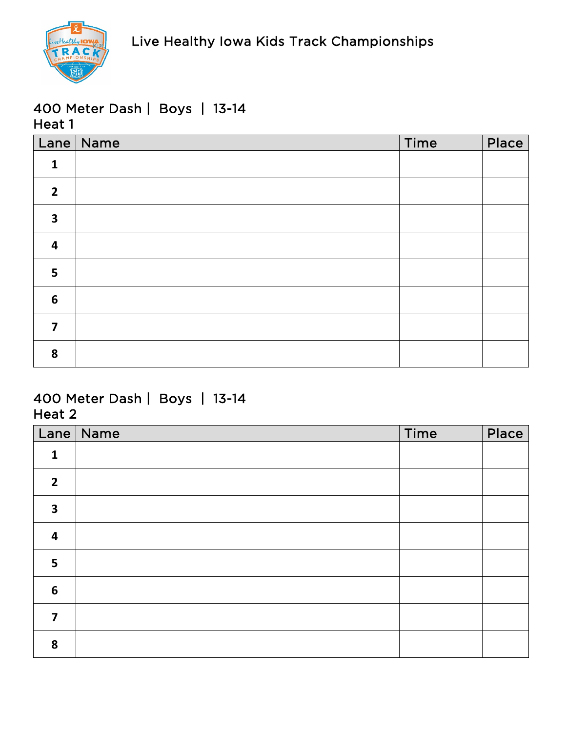

|                         | Lane Name | Time | Place |
|-------------------------|-----------|------|-------|
| $\mathbf{1}$            |           |      |       |
| $\overline{2}$          |           |      |       |
| $\overline{\mathbf{3}}$ |           |      |       |
| $\overline{\mathbf{4}}$ |           |      |       |
| 5                       |           |      |       |
| $6\phantom{1}6$         |           |      |       |
| $\overline{7}$          |           |      |       |
| 8                       |           |      |       |

| Lane             | Name | Time | Place |
|------------------|------|------|-------|
| $\mathbf{1}$     |      |      |       |
| $\overline{2}$   |      |      |       |
| 3                |      |      |       |
| 4                |      |      |       |
| 5                |      |      |       |
| $\boldsymbol{6}$ |      |      |       |
| 7                |      |      |       |
| 8                |      |      |       |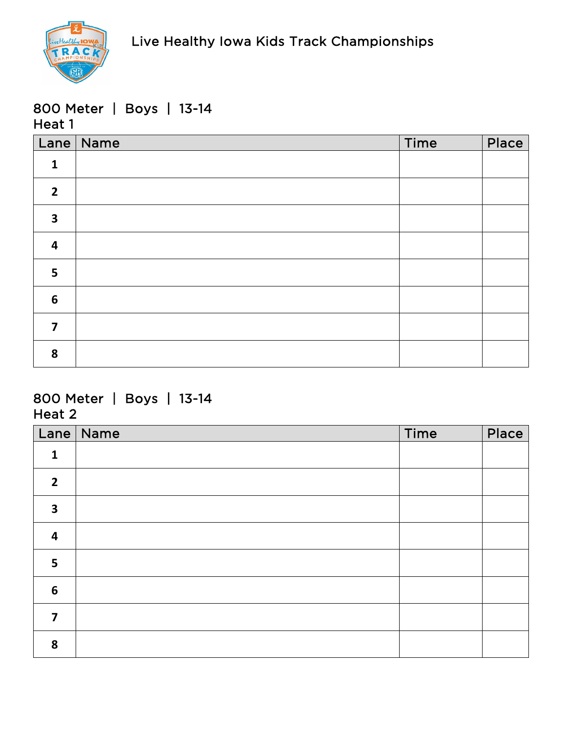

#### 800 Meter | Boys | 13-14 Heat 1

|                         | Lane   Name | Time | Place |
|-------------------------|-------------|------|-------|
| $\mathbf{1}$            |             |      |       |
| $\overline{2}$          |             |      |       |
| $\overline{\mathbf{3}}$ |             |      |       |
| $\overline{\mathbf{4}}$ |             |      |       |
| 5                       |             |      |       |
| $6\phantom{1}6$         |             |      |       |
| $\overline{7}$          |             |      |       |
| 8                       |             |      |       |

## 800 Meter | Boys | 13-14 Heat 2

| Lane                    | $\vert$ Name | Time | Place |
|-------------------------|--------------|------|-------|
| $\mathbf{1}$            |              |      |       |
| $\overline{2}$          |              |      |       |
| $\overline{\mathbf{3}}$ |              |      |       |
| $\overline{\mathbf{4}}$ |              |      |       |
| 5                       |              |      |       |
| $\boldsymbol{6}$        |              |      |       |
| 7                       |              |      |       |
| 8                       |              |      |       |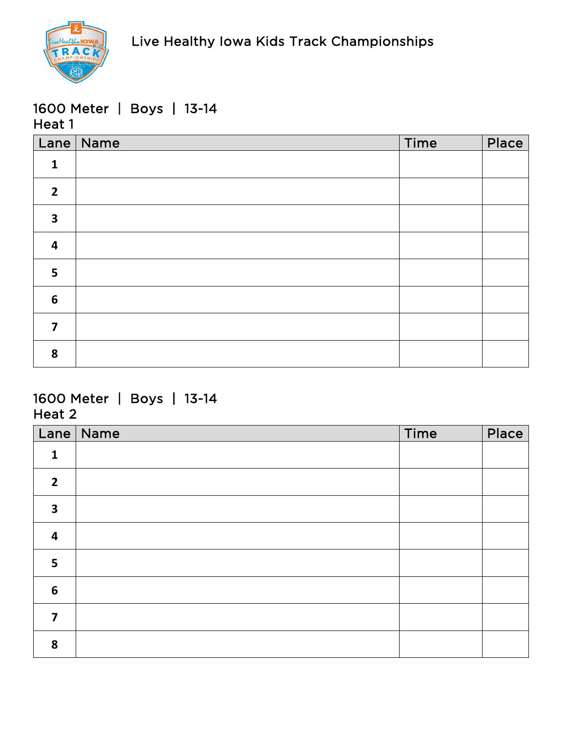

#### 1600 Meter | Boys | 13-14 Heat 1

|                         | Lane   Name | Time | Place |
|-------------------------|-------------|------|-------|
| $\mathbf{1}$            |             |      |       |
| $\overline{2}$          |             |      |       |
| $\overline{\mathbf{3}}$ |             |      |       |
| $\overline{\mathbf{4}}$ |             |      |       |
| 5                       |             |      |       |
| $6\phantom{1}6$         |             |      |       |
| $\overline{7}$          |             |      |       |
| 8                       |             |      |       |

## 1600 Meter | Boys | 13-14 Heat 2

| Lane                    | $\vert$ Name | Time | Place |
|-------------------------|--------------|------|-------|
| $\mathbf{1}$            |              |      |       |
| $\overline{2}$          |              |      |       |
| $\overline{\mathbf{3}}$ |              |      |       |
| $\overline{\mathbf{4}}$ |              |      |       |
| 5                       |              |      |       |
| $\boldsymbol{6}$        |              |      |       |
| 7                       |              |      |       |
| 8                       |              |      |       |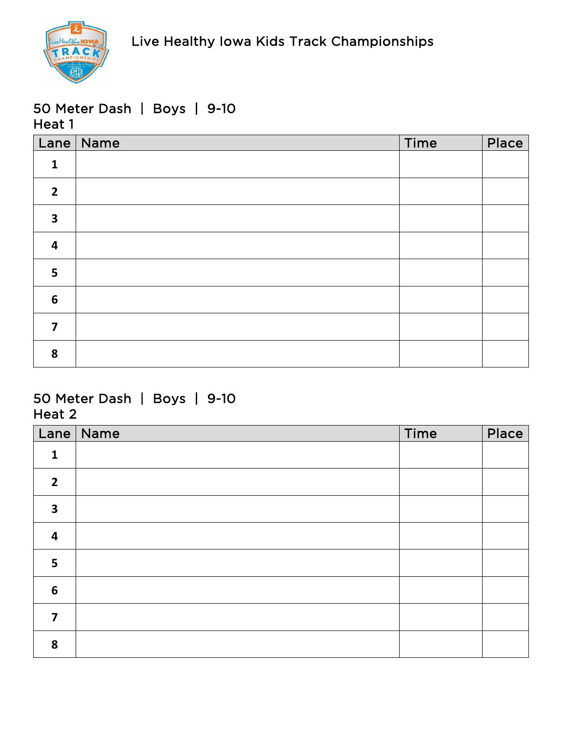

|                         | Lane Name | Time | Place |
|-------------------------|-----------|------|-------|
| $\mathbf{1}$            |           |      |       |
| $\overline{2}$          |           |      |       |
| $\overline{\mathbf{3}}$ |           |      |       |
| $\overline{\mathbf{4}}$ |           |      |       |
| 5                       |           |      |       |
| $6\phantom{1}6$         |           |      |       |
| $\overline{\mathbf{z}}$ |           |      |       |
| 8                       |           |      |       |

|                         | Lane   Name | Time | Place |
|-------------------------|-------------|------|-------|
| $\mathbf{1}$            |             |      |       |
| $\overline{2}$          |             |      |       |
| $\overline{\mathbf{3}}$ |             |      |       |
| $\overline{\mathbf{4}}$ |             |      |       |
| 5                       |             |      |       |
| $6\phantom{1}6$         |             |      |       |
| 7                       |             |      |       |
| 8                       |             |      |       |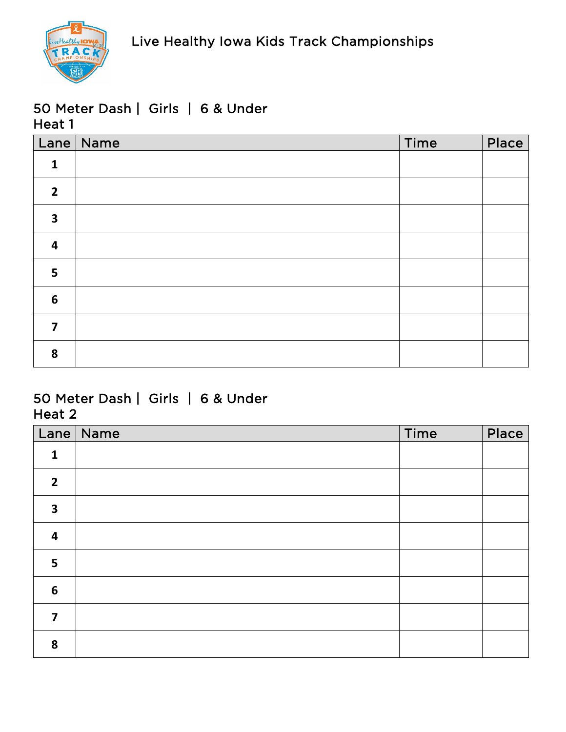

#### 50 Meter Dash | Girls | 6 & Under Heat 1

|                         | Lane   Name | Time | Place |
|-------------------------|-------------|------|-------|
| $\mathbf{1}$            |             |      |       |
| $\overline{2}$          |             |      |       |
| $\overline{\mathbf{3}}$ |             |      |       |
| $\overline{\mathbf{4}}$ |             |      |       |
| 5                       |             |      |       |
| $6\phantom{1}$          |             |      |       |
| $\overline{7}$          |             |      |       |
| 8                       |             |      |       |

## 50 Meter Dash | Girls | 6 & Under Heat 2

| Lane                    | Name | Time | Place |
|-------------------------|------|------|-------|
| $\mathbf{1}$            |      |      |       |
| $\overline{2}$          |      |      |       |
| $\overline{\mathbf{3}}$ |      |      |       |
| $\overline{\mathbf{4}}$ |      |      |       |
| 5                       |      |      |       |
| $\boldsymbol{6}$        |      |      |       |
| $\overline{\mathbf{z}}$ |      |      |       |
| 8                       |      |      |       |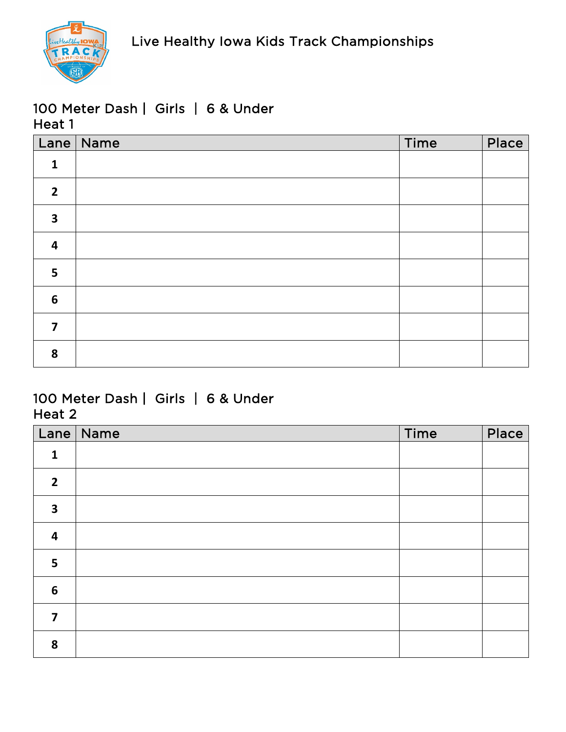

## 100 Meter Dash | Girls | 6 & Under Heat 1

|                         | Lane Name | Time | Place |
|-------------------------|-----------|------|-------|
| $\mathbf{1}$            |           |      |       |
| $\overline{2}$          |           |      |       |
| $\overline{\mathbf{3}}$ |           |      |       |
| $\overline{\mathbf{4}}$ |           |      |       |
| 5                       |           |      |       |
| $6\phantom{1}6$         |           |      |       |
| $\overline{\mathbf{z}}$ |           |      |       |
| 8                       |           |      |       |

## 100 Meter Dash | Girls | 6 & Under Heat 2

| Lane                    | Name | Time | Place |
|-------------------------|------|------|-------|
| $\mathbf{1}$            |      |      |       |
| $\overline{2}$          |      |      |       |
| $\overline{\mathbf{3}}$ |      |      |       |
| $\overline{\mathbf{r}}$ |      |      |       |
| 5                       |      |      |       |
| $6\phantom{1}6$         |      |      |       |
| 7                       |      |      |       |
| 8                       |      |      |       |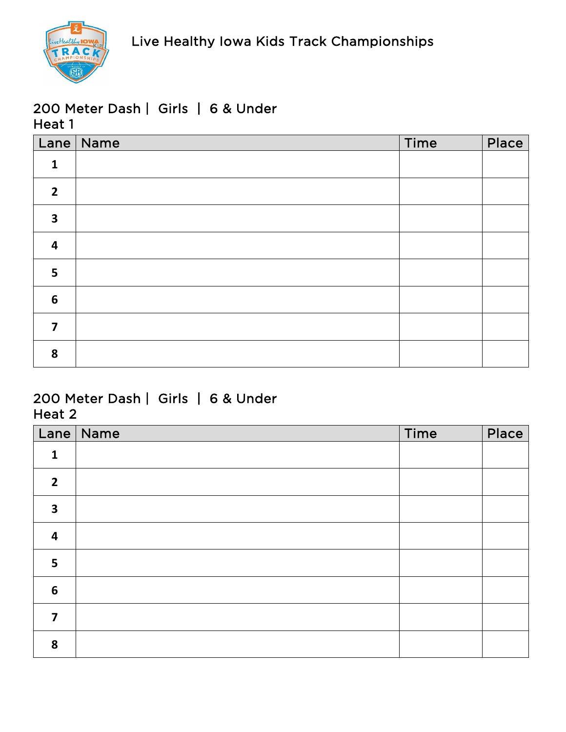

## 200 Meter Dash | Girls | 6 & Under Heat 1

|                         | Lane   Name | Time | Place |
|-------------------------|-------------|------|-------|
| $\mathbf{1}$            |             |      |       |
| $\overline{2}$          |             |      |       |
| $\overline{\mathbf{3}}$ |             |      |       |
| $\overline{\mathbf{4}}$ |             |      |       |
| 5                       |             |      |       |
| $6\phantom{1}6$         |             |      |       |
| $\overline{\mathbf{z}}$ |             |      |       |
| 8                       |             |      |       |

#### 200 Meter Dash | Girls | 6 & Under Heat 2

| Lane                    | Name | Time | Place |
|-------------------------|------|------|-------|
| $\mathbf{1}$            |      |      |       |
| $\overline{2}$          |      |      |       |
| 3                       |      |      |       |
| $\overline{\mathbf{4}}$ |      |      |       |
| 5                       |      |      |       |
| $6\phantom{1}6$         |      |      |       |
| 7                       |      |      |       |
| 8                       |      |      |       |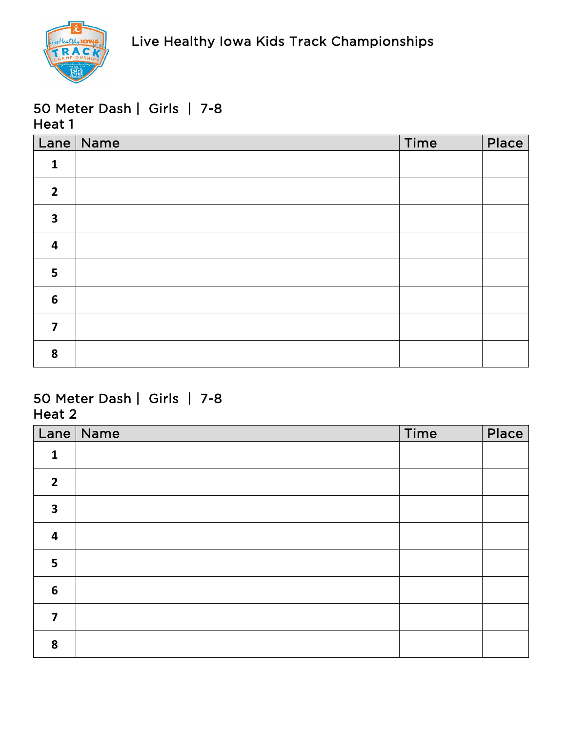

|                         | Lane Name | Time | Place |
|-------------------------|-----------|------|-------|
| $\mathbf{1}$            |           |      |       |
| $\overline{2}$          |           |      |       |
| $\overline{\mathbf{3}}$ |           |      |       |
| $\overline{\mathbf{4}}$ |           |      |       |
| 5                       |           |      |       |
| $6\phantom{1}6$         |           |      |       |
| $\overline{\mathbf{z}}$ |           |      |       |
| 8                       |           |      |       |

| Lane                    | Name | Time | Place |
|-------------------------|------|------|-------|
| $\mathbf{1}$            |      |      |       |
| $\overline{2}$          |      |      |       |
| $\overline{\mathbf{3}}$ |      |      |       |
| $\overline{\mathbf{r}}$ |      |      |       |
| 5                       |      |      |       |
| $6\phantom{1}6$         |      |      |       |
| 7                       |      |      |       |
| 8                       |      |      |       |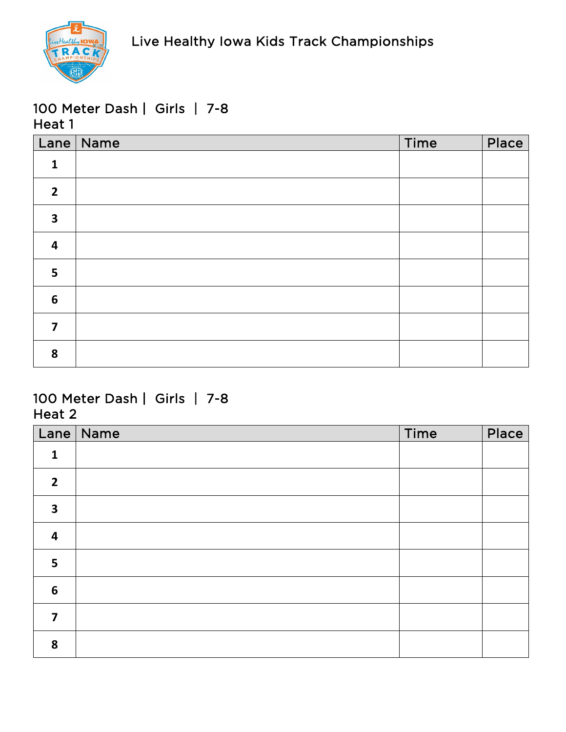

|                         | Lane Name | Time | Place |
|-------------------------|-----------|------|-------|
| $\mathbf{1}$            |           |      |       |
| $\overline{2}$          |           |      |       |
| $\overline{\mathbf{3}}$ |           |      |       |
| $\overline{\mathbf{4}}$ |           |      |       |
| 5                       |           |      |       |
| $6\phantom{1}6$         |           |      |       |
| $\overline{7}$          |           |      |       |
| 8                       |           |      |       |

| Lane                    | Name | Time | Place |
|-------------------------|------|------|-------|
| $\mathbf{1}$            |      |      |       |
| $\overline{2}$          |      |      |       |
| $\overline{\mathbf{3}}$ |      |      |       |
| $\overline{\mathbf{r}}$ |      |      |       |
| 5                       |      |      |       |
| $6\phantom{1}6$         |      |      |       |
| 7                       |      |      |       |
| 8                       |      |      |       |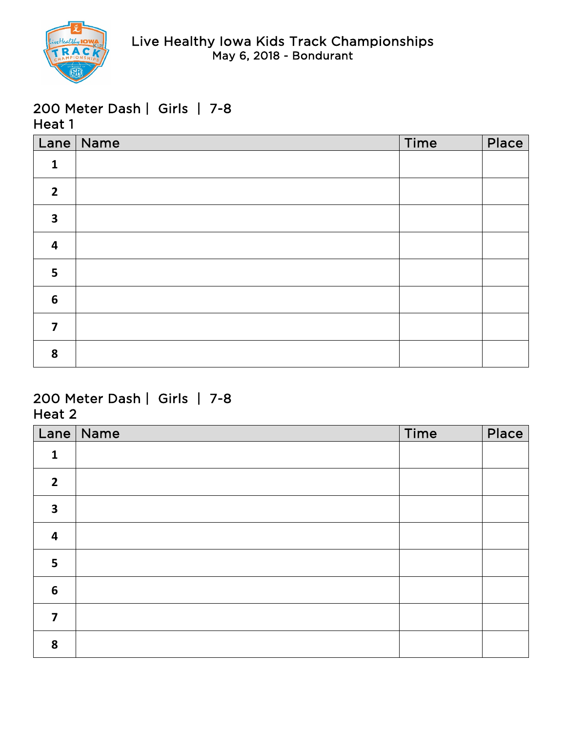

|                         | Lane Name | Time | Place |
|-------------------------|-----------|------|-------|
| $\mathbf{1}$            |           |      |       |
| $\overline{2}$          |           |      |       |
| $\overline{\mathbf{3}}$ |           |      |       |
| $\overline{\mathbf{4}}$ |           |      |       |
| 5                       |           |      |       |
| $6\phantom{1}6$         |           |      |       |
| $\overline{7}$          |           |      |       |
| 8                       |           |      |       |

| Lane                    | Name | Time | Place |
|-------------------------|------|------|-------|
| $\mathbf{1}$            |      |      |       |
| $\overline{2}$          |      |      |       |
| $\overline{\mathbf{3}}$ |      |      |       |
| $\overline{\mathbf{r}}$ |      |      |       |
| 5                       |      |      |       |
| $6\phantom{1}6$         |      |      |       |
| 7                       |      |      |       |
| 8                       |      |      |       |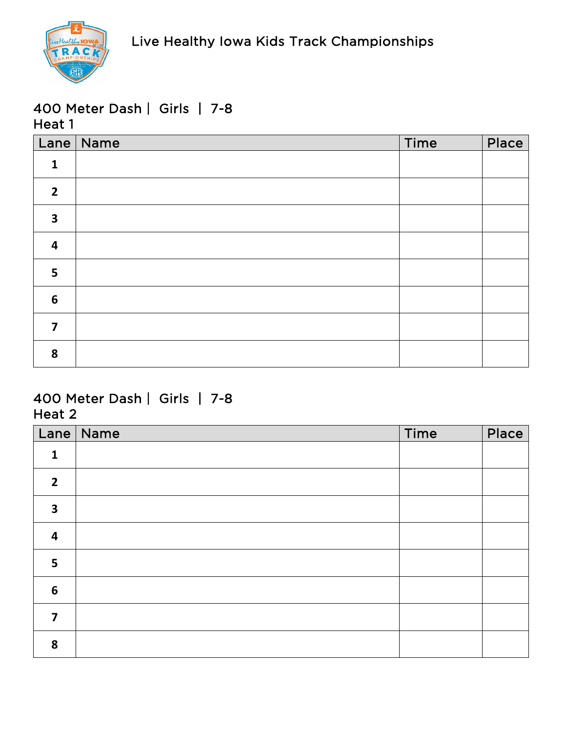

|                         | Lane   Name | Time | Place |
|-------------------------|-------------|------|-------|
| $\mathbf{1}$            |             |      |       |
| $\overline{2}$          |             |      |       |
| $\overline{\mathbf{3}}$ |             |      |       |
| $\overline{\mathbf{4}}$ |             |      |       |
| 5                       |             |      |       |
| $6\phantom{1}6$         |             |      |       |
| $\overline{\mathbf{z}}$ |             |      |       |
| 8                       |             |      |       |

| Lane                    | $\vert$ Name | Time | Place |
|-------------------------|--------------|------|-------|
| $\mathbf{1}$            |              |      |       |
| $\overline{2}$          |              |      |       |
| $\overline{\mathbf{3}}$ |              |      |       |
| $\overline{\mathbf{4}}$ |              |      |       |
| 5                       |              |      |       |
| $\boldsymbol{6}$        |              |      |       |
| 7                       |              |      |       |
| 8                       |              |      |       |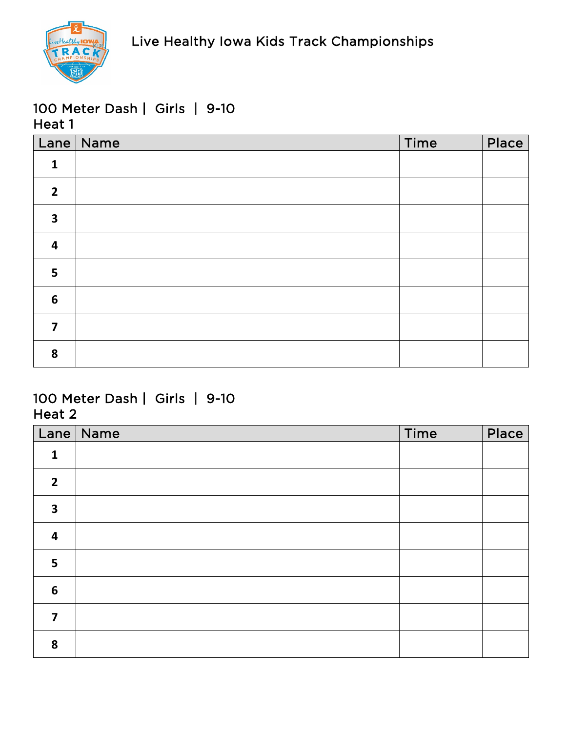

|                         | Lane Name | Time | Place |
|-------------------------|-----------|------|-------|
| $\mathbf{1}$            |           |      |       |
| $\overline{2}$          |           |      |       |
| $\overline{\mathbf{3}}$ |           |      |       |
| $\overline{\mathbf{4}}$ |           |      |       |
| 5                       |           |      |       |
| $6\phantom{1}6$         |           |      |       |
| $\overline{7}$          |           |      |       |
| 8                       |           |      |       |

| Lane                    | $\vert$ Name | Time | Place |
|-------------------------|--------------|------|-------|
| $\mathbf{1}$            |              |      |       |
| $\overline{2}$          |              |      |       |
| $\overline{\mathbf{3}}$ |              |      |       |
| $\overline{\mathbf{4}}$ |              |      |       |
| 5                       |              |      |       |
| $\boldsymbol{6}$        |              |      |       |
| 7                       |              |      |       |
| 8                       |              |      |       |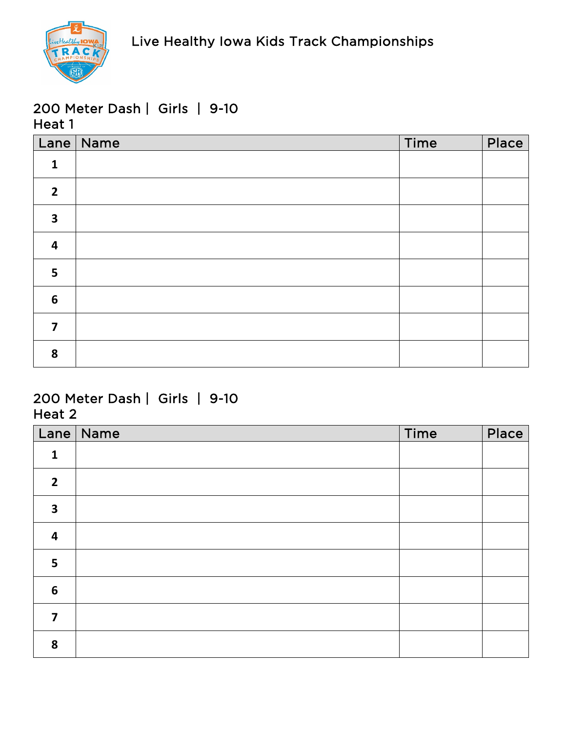

|                         | Lane   Name | Time | Place |
|-------------------------|-------------|------|-------|
| $\mathbf{1}$            |             |      |       |
| $\overline{2}$          |             |      |       |
| $\overline{\mathbf{3}}$ |             |      |       |
| $\overline{\mathbf{4}}$ |             |      |       |
| 5                       |             |      |       |
| $6\phantom{1}6$         |             |      |       |
| $\overline{7}$          |             |      |       |
| 8                       |             |      |       |

| Lane                    | $\sqrt{\phantom{a}}$ Name | Time | Place |
|-------------------------|---------------------------|------|-------|
| $\mathbf{1}$            |                           |      |       |
| $\overline{2}$          |                           |      |       |
| $\overline{\mathbf{3}}$ |                           |      |       |
| $\overline{\mathbf{r}}$ |                           |      |       |
| 5                       |                           |      |       |
| $6\phantom{1}6$         |                           |      |       |
| 7                       |                           |      |       |
| 8                       |                           |      |       |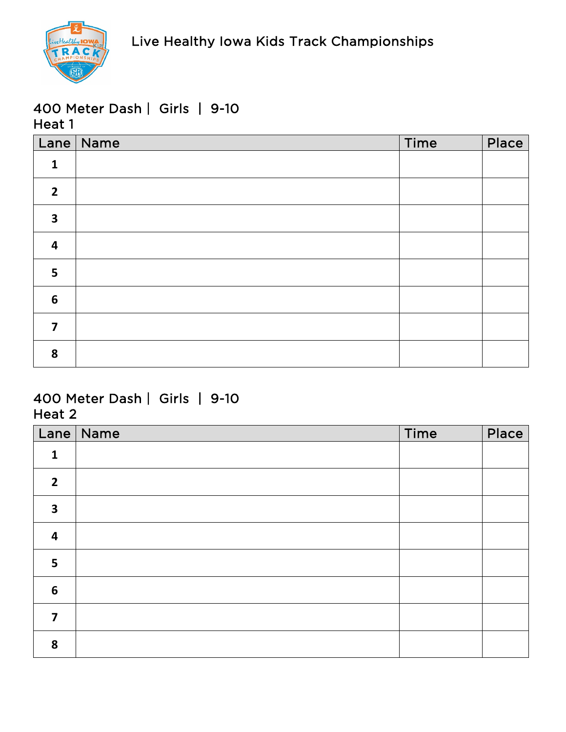

|                         | Lane   Name | Time | Place |
|-------------------------|-------------|------|-------|
| $\mathbf{1}$            |             |      |       |
| $\overline{2}$          |             |      |       |
| $\overline{\mathbf{3}}$ |             |      |       |
| $\overline{\mathbf{4}}$ |             |      |       |
| $5\phantom{a}$          |             |      |       |
| $6\phantom{1}6$         |             |      |       |
| $\overline{\mathbf{z}}$ |             |      |       |
| 8                       |             |      |       |

| Lane                    | Name | Time | Place |
|-------------------------|------|------|-------|
| $\mathbf{1}$            |      |      |       |
| $\overline{2}$          |      |      |       |
| $\overline{\mathbf{3}}$ |      |      |       |
| $\overline{\mathbf{r}}$ |      |      |       |
| 5                       |      |      |       |
| $6\phantom{1}6$         |      |      |       |
| 7                       |      |      |       |
| 8                       |      |      |       |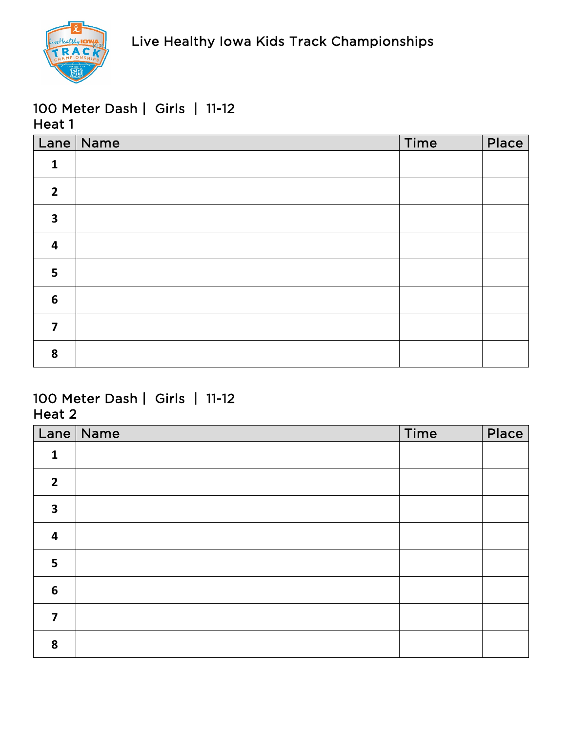

|                         | Lane   Name | Time | Place |
|-------------------------|-------------|------|-------|
| $\mathbf{1}$            |             |      |       |
| $\overline{2}$          |             |      |       |
| $\overline{\mathbf{3}}$ |             |      |       |
| $\overline{\mathbf{4}}$ |             |      |       |
| 5                       |             |      |       |
| $6\phantom{1}6$         |             |      |       |
| $\overline{\mathbf{z}}$ |             |      |       |
| 8                       |             |      |       |

| Lane                    | $\vert$ Name | Time | Place |
|-------------------------|--------------|------|-------|
| $\mathbf{1}$            |              |      |       |
| $\overline{2}$          |              |      |       |
| $\overline{\mathbf{3}}$ |              |      |       |
| $\overline{\mathbf{4}}$ |              |      |       |
| 5                       |              |      |       |
| $\boldsymbol{6}$        |              |      |       |
| 7                       |              |      |       |
| 8                       |              |      |       |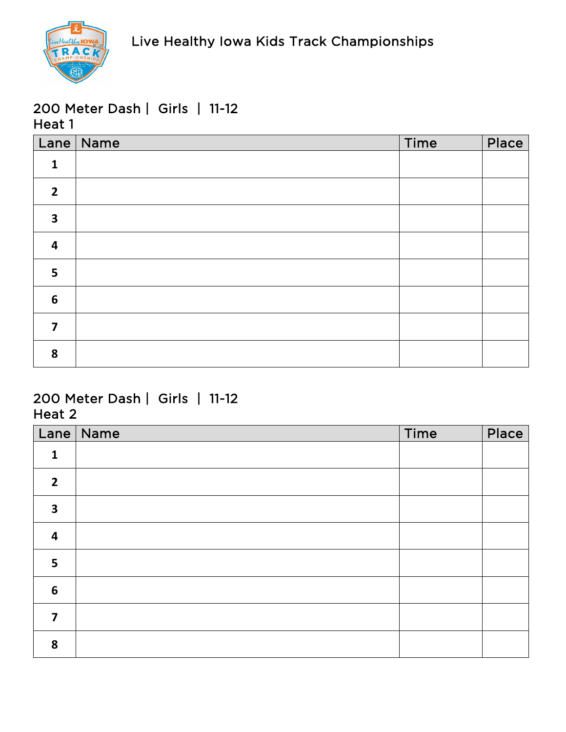

|                         | Lane   Name | Time | Place |
|-------------------------|-------------|------|-------|
| $\mathbf{1}$            |             |      |       |
| $\overline{2}$          |             |      |       |
| $\overline{\mathbf{3}}$ |             |      |       |
| $\overline{\mathbf{4}}$ |             |      |       |
| 5                       |             |      |       |
| $6\phantom{1}6$         |             |      |       |
| $\overline{7}$          |             |      |       |
| 8                       |             |      |       |

| Lane                    | Name | Time | Place |
|-------------------------|------|------|-------|
| $\mathbf{1}$            |      |      |       |
| $\overline{2}$          |      |      |       |
| $\overline{\mathbf{3}}$ |      |      |       |
| $\overline{\mathbf{r}}$ |      |      |       |
| 5                       |      |      |       |
| $6\phantom{1}6$         |      |      |       |
| 7                       |      |      |       |
| 8                       |      |      |       |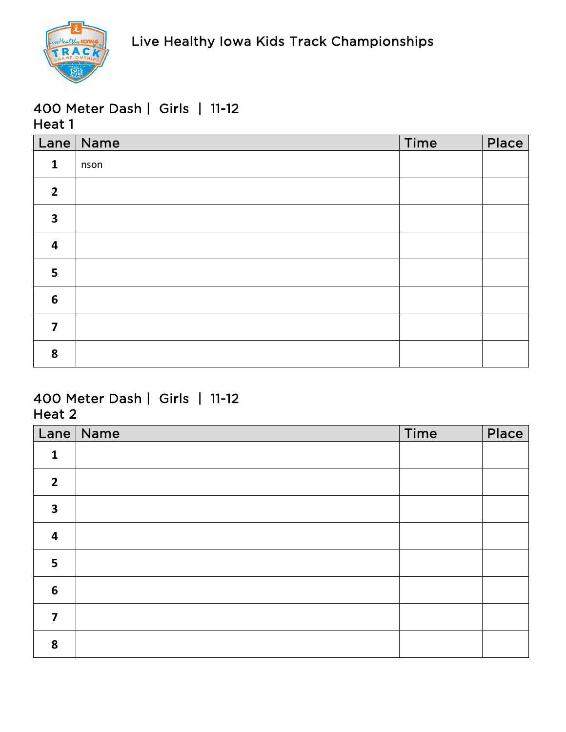

|                         | Lane   Name | Time | Place |
|-------------------------|-------------|------|-------|
| $\mathbf{1}$            | nson        |      |       |
| $\overline{2}$          |             |      |       |
| $\overline{\mathbf{3}}$ |             |      |       |
| $\overline{\mathbf{4}}$ |             |      |       |
| 5                       |             |      |       |
| $6\phantom{1}6$         |             |      |       |
| $\overline{7}$          |             |      |       |
| 8                       |             |      |       |

| Lane                    | Name | Time | Place |
|-------------------------|------|------|-------|
| $\mathbf{1}$            |      |      |       |
| $\overline{2}$          |      |      |       |
| $\overline{\mathbf{3}}$ |      |      |       |
| 4                       |      |      |       |
| 5                       |      |      |       |
| $6\phantom{1}6$         |      |      |       |
| $\overline{\mathbf{z}}$ |      |      |       |
| 8                       |      |      |       |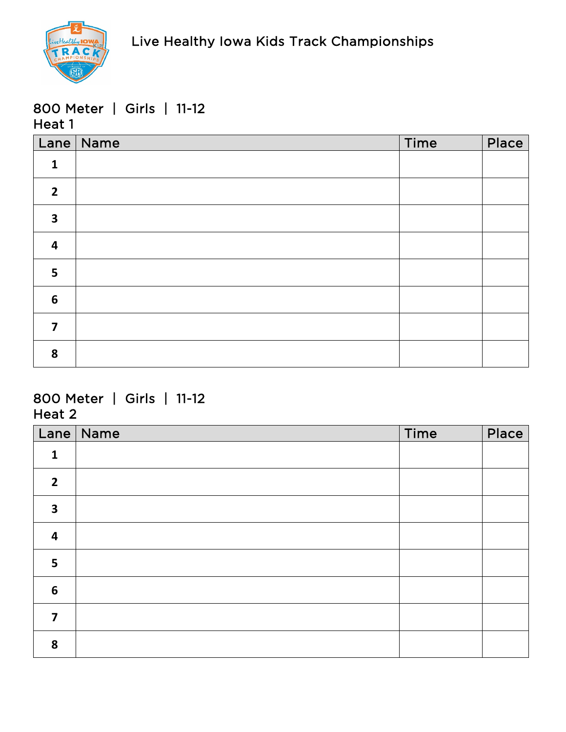

### 800 Meter | Girls | 11-12 Heat 1

|                         | Lane Name | Time | Place |
|-------------------------|-----------|------|-------|
| $\mathbf{1}$            |           |      |       |
| $\overline{2}$          |           |      |       |
| $\overline{\mathbf{3}}$ |           |      |       |
| $\overline{\mathbf{4}}$ |           |      |       |
| 5                       |           |      |       |
| $6\phantom{1}6$         |           |      |       |
| $\overline{7}$          |           |      |       |
| 8                       |           |      |       |

## 800 Meter | Girls | 11-12 Heat 2

| Lane                    | Name | Time | Place |
|-------------------------|------|------|-------|
| $\mathbf{1}$            |      |      |       |
| $\overline{2}$          |      |      |       |
| $\overline{\mathbf{3}}$ |      |      |       |
| $\overline{\mathbf{r}}$ |      |      |       |
| 5                       |      |      |       |
| $6\phantom{1}6$         |      |      |       |
| 7                       |      |      |       |
| 8                       |      |      |       |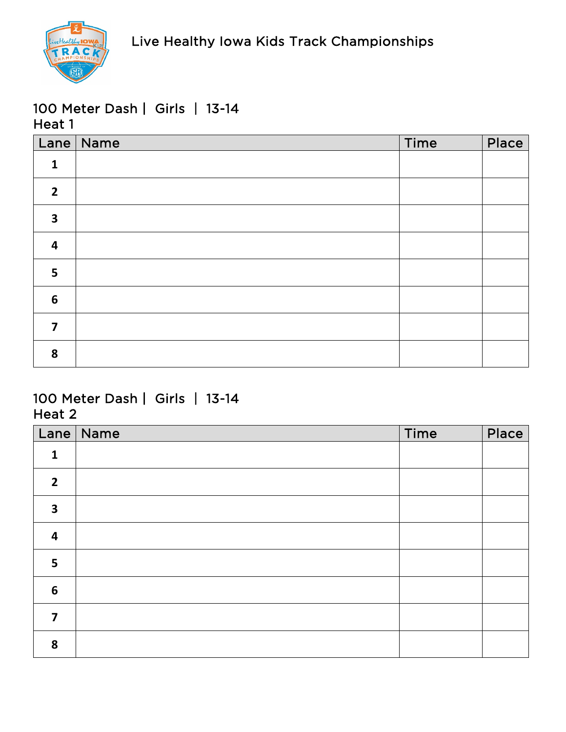

|                         | Lane Name | Time | Place |
|-------------------------|-----------|------|-------|
| $\mathbf{1}$            |           |      |       |
| $\overline{2}$          |           |      |       |
| $\overline{\mathbf{3}}$ |           |      |       |
| $\overline{\mathbf{4}}$ |           |      |       |
| 5                       |           |      |       |
| $6\phantom{1}6$         |           |      |       |
| $\overline{7}$          |           |      |       |
| 8                       |           |      |       |

| Lane                    | $\vert$ Name | Time | Place |
|-------------------------|--------------|------|-------|
| $\mathbf{1}$            |              |      |       |
| $\overline{2}$          |              |      |       |
| $\overline{\mathbf{3}}$ |              |      |       |
| $\overline{\mathbf{4}}$ |              |      |       |
| 5                       |              |      |       |
| $\boldsymbol{6}$        |              |      |       |
| 7                       |              |      |       |
| 8                       |              |      |       |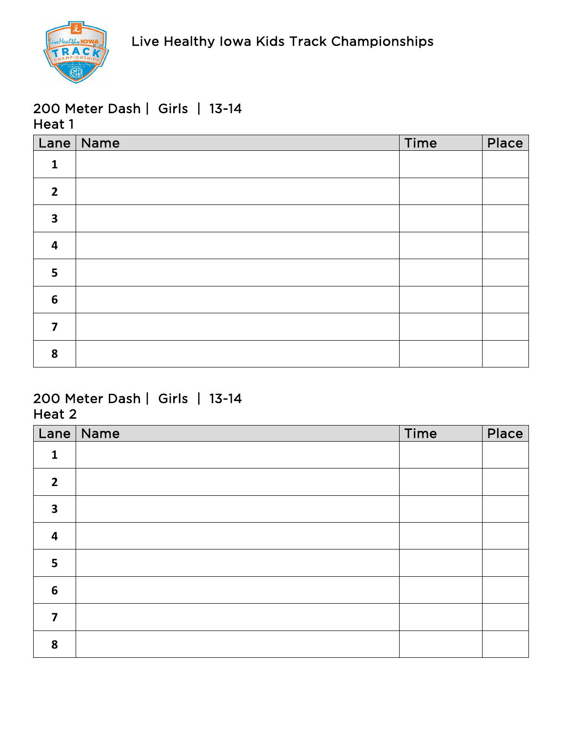

|                         | Lane   Name | Time | Place |
|-------------------------|-------------|------|-------|
| $\mathbf{1}$            |             |      |       |
| $\overline{2}$          |             |      |       |
| $\overline{\mathbf{3}}$ |             |      |       |
| $\overline{\mathbf{4}}$ |             |      |       |
| 5                       |             |      |       |
| $6\phantom{1}6$         |             |      |       |
| $\overline{\mathbf{z}}$ |             |      |       |
| 8                       |             |      |       |

| Lane                    | $\vert$ Name | Time | Place |
|-------------------------|--------------|------|-------|
| $\mathbf{1}$            |              |      |       |
| $\overline{2}$          |              |      |       |
| $\overline{\mathbf{3}}$ |              |      |       |
| $\overline{\mathbf{4}}$ |              |      |       |
| 5                       |              |      |       |
| $\boldsymbol{6}$        |              |      |       |
| 7                       |              |      |       |
| 8                       |              |      |       |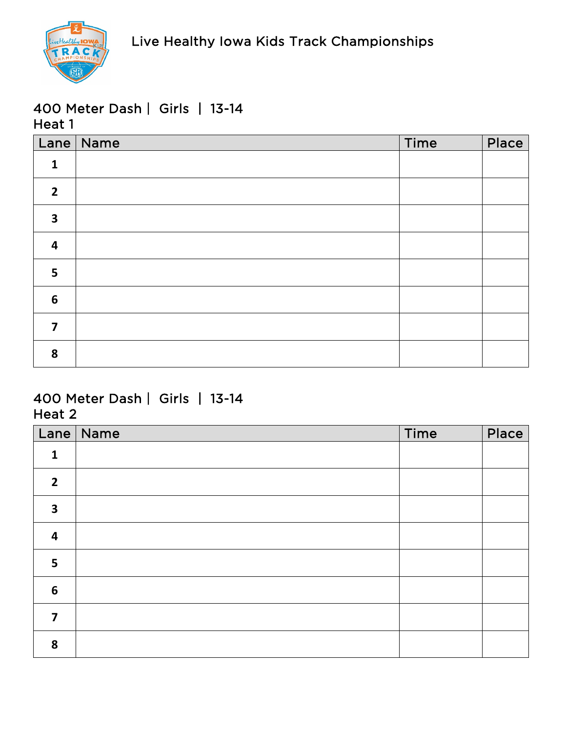

|                         | Lane   Name | Time | Place |
|-------------------------|-------------|------|-------|
| $\mathbf{1}$            |             |      |       |
| $\overline{2}$          |             |      |       |
| $\overline{\mathbf{3}}$ |             |      |       |
| $\overline{\mathbf{4}}$ |             |      |       |
| 5                       |             |      |       |
| $6\phantom{1}$          |             |      |       |
| $\overline{\mathbf{z}}$ |             |      |       |
| 8                       |             |      |       |

| Lane                    | $\vert$ Name | Time | Place |
|-------------------------|--------------|------|-------|
| $\mathbf{1}$            |              |      |       |
| $\overline{2}$          |              |      |       |
| $\overline{\mathbf{3}}$ |              |      |       |
| $\overline{\mathbf{4}}$ |              |      |       |
| 5                       |              |      |       |
| $\boldsymbol{6}$        |              |      |       |
| 7                       |              |      |       |
| 8                       |              |      |       |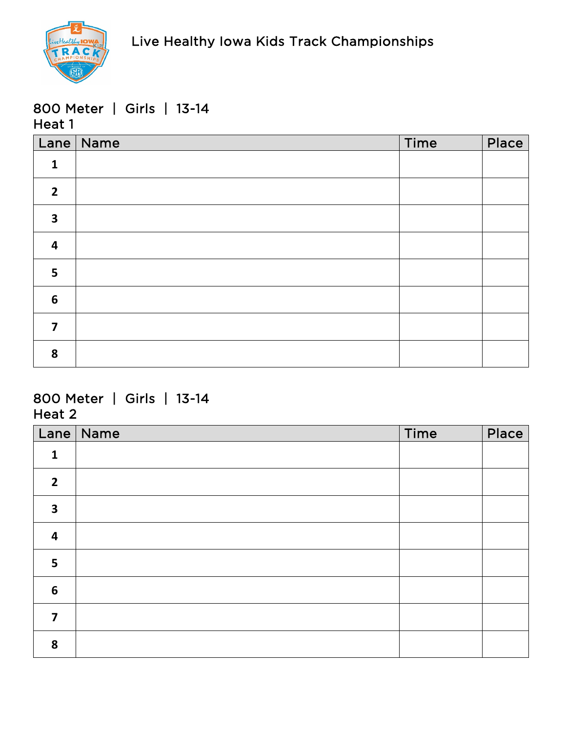

#### 800 Meter | Girls | 13-14 Heat 1

|                         | Lane   Name | Time | Place |
|-------------------------|-------------|------|-------|
| $\mathbf{1}$            |             |      |       |
| $\overline{2}$          |             |      |       |
| $\overline{\mathbf{3}}$ |             |      |       |
| $\overline{\mathbf{4}}$ |             |      |       |
| 5                       |             |      |       |
| $6\phantom{1}6$         |             |      |       |
| $\overline{7}$          |             |      |       |
| 8                       |             |      |       |

## 800 Meter | Girls | 13-14 Heat 2

| Lane                    | Name | Time | Place |
|-------------------------|------|------|-------|
| $\mathbf{1}$            |      |      |       |
| $\overline{2}$          |      |      |       |
| $\overline{\mathbf{3}}$ |      |      |       |
| $\overline{\mathbf{r}}$ |      |      |       |
| 5                       |      |      |       |
| $6\phantom{1}6$         |      |      |       |
| 7                       |      |      |       |
| 8                       |      |      |       |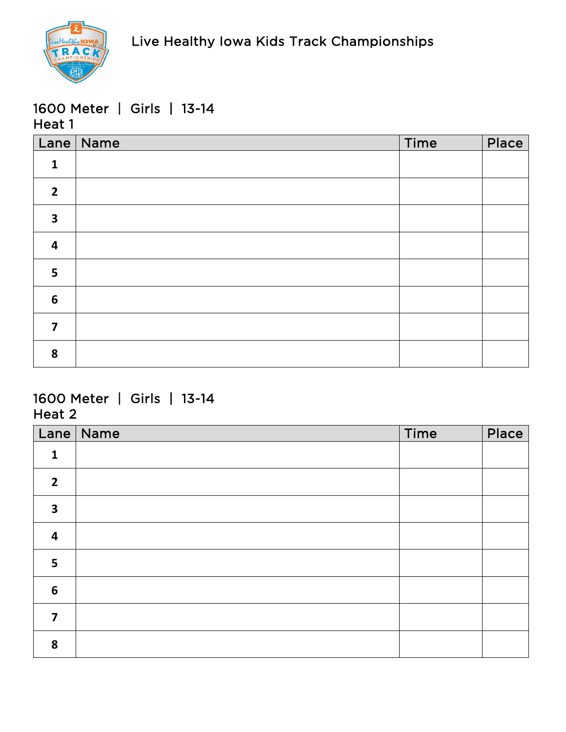

### 1600 Meter | Girls | 13-14 Heat 1

|                         | Lane   Name | Time | Place |
|-------------------------|-------------|------|-------|
| $\mathbf{1}$            |             |      |       |
| $\overline{2}$          |             |      |       |
| $\overline{\mathbf{3}}$ |             |      |       |
| $\overline{\mathbf{4}}$ |             |      |       |
| 5                       |             |      |       |
| $6\phantom{1}6$         |             |      |       |
| $\overline{\mathbf{z}}$ |             |      |       |
| 8                       |             |      |       |

## 1600 Meter | Girls | 13-14 Heat 2

|                         | Lane   Name | Time | Place |
|-------------------------|-------------|------|-------|
| $\mathbf{1}$            |             |      |       |
| $\overline{2}$          |             |      |       |
| $\overline{\mathbf{3}}$ |             |      |       |
| $\overline{\mathbf{4}}$ |             |      |       |
| 5                       |             |      |       |
| $6\phantom{1}6$         |             |      |       |
| 7                       |             |      |       |
| 8                       |             |      |       |